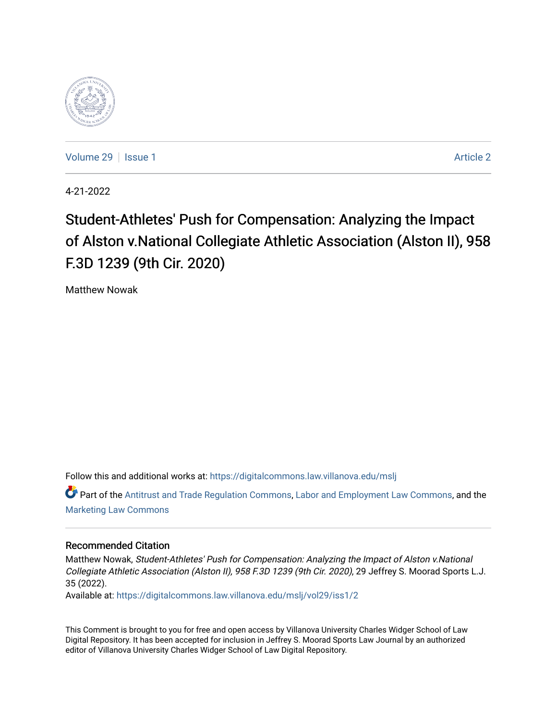

[Volume 29](https://digitalcommons.law.villanova.edu/mslj/vol29) | [Issue 1](https://digitalcommons.law.villanova.edu/mslj/vol29/iss1) [Article 2](https://digitalcommons.law.villanova.edu/mslj/vol29/iss1/2) | Article 2 | Article 2 | Article 2 | Article 2 | Article 2 | Article 2 | Article 2 | Article 2 | Article 2 | Article 2 | Article 2 | Article 2 | Article 2 | Article 2 | Article 2 | Article 2

4-21-2022

# Student-Athletes' Push for Compensation: Analyzing the Impact of Alston v.National Collegiate Athletic Association (Alston II), 958 F.3D 1239 (9th Cir. 2020)

Matthew Nowak

Follow this and additional works at: [https://digitalcommons.law.villanova.edu/mslj](https://digitalcommons.law.villanova.edu/mslj?utm_source=digitalcommons.law.villanova.edu%2Fmslj%2Fvol29%2Fiss1%2F2&utm_medium=PDF&utm_campaign=PDFCoverPages)

Part of the [Antitrust and Trade Regulation Commons,](http://network.bepress.com/hgg/discipline/911?utm_source=digitalcommons.law.villanova.edu%2Fmslj%2Fvol29%2Fiss1%2F2&utm_medium=PDF&utm_campaign=PDFCoverPages) [Labor and Employment Law Commons](http://network.bepress.com/hgg/discipline/909?utm_source=digitalcommons.law.villanova.edu%2Fmslj%2Fvol29%2Fiss1%2F2&utm_medium=PDF&utm_campaign=PDFCoverPages), and the [Marketing Law Commons](http://network.bepress.com/hgg/discipline/1045?utm_source=digitalcommons.law.villanova.edu%2Fmslj%2Fvol29%2Fiss1%2F2&utm_medium=PDF&utm_campaign=PDFCoverPages) 

## Recommended Citation

Matthew Nowak, Student-Athletes' Push for Compensation: Analyzing the Impact of Alston v.National Collegiate Athletic Association (Alston II), 958 F.3D 1239 (9th Cir. 2020), 29 Jeffrey S. Moorad Sports L.J. 35 (2022).

Available at: [https://digitalcommons.law.villanova.edu/mslj/vol29/iss1/2](https://digitalcommons.law.villanova.edu/mslj/vol29/iss1/2?utm_source=digitalcommons.law.villanova.edu%2Fmslj%2Fvol29%2Fiss1%2F2&utm_medium=PDF&utm_campaign=PDFCoverPages) 

This Comment is brought to you for free and open access by Villanova University Charles Widger School of Law Digital Repository. It has been accepted for inclusion in Jeffrey S. Moorad Sports Law Journal by an authorized editor of Villanova University Charles Widger School of Law Digital Repository.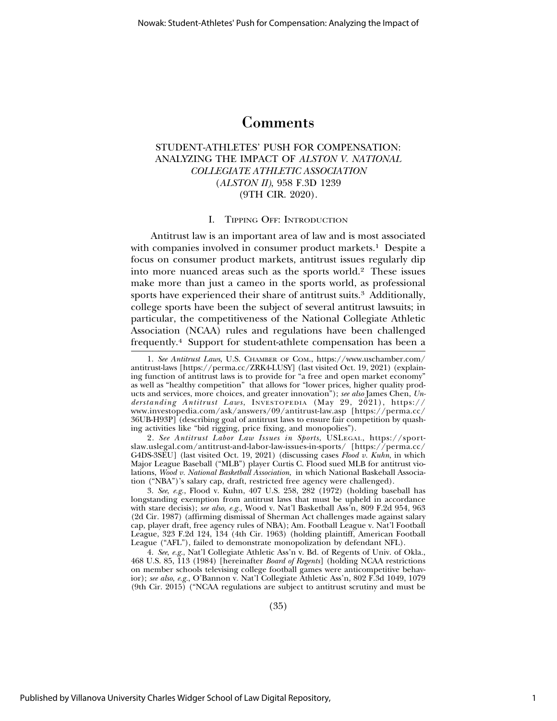## Comments

## STUDENT-ATHLETES' PUSH FOR COMPENSATION: ANALYZING THE IMPACT OF *ALSTON V. NATIONAL COLLEGIATE ATHLETIC ASSOCIATION* (*ALSTON II)*, 958 F.3D 1239 (9TH CIR. 2020).

## I. TIPPING OFF: INTRODUCTION

Antitrust law is an important area of law and is most associated with companies involved in consumer product markets.<sup>1</sup> Despite a focus on consumer product markets, antitrust issues regularly dip into more nuanced areas such as the sports world.2 These issues make more than just a cameo in the sports world, as professional sports have experienced their share of antitrust suits.<sup>3</sup> Additionally, college sports have been the subject of several antitrust lawsuits; in particular, the competitiveness of the National Collegiate Athletic Association (NCAA) rules and regulations have been challenged frequently.4 Support for student-athlete compensation has been a

2. *See Antitrust Labor Law Issues in Sports*, USLEGAL, https://sportslaw.uslegal.com/antitrust-and-labor-law-issues-in-sports/ [https://perma.cc/ G4DS-3SEU] (last visited Oct. 19, 2021) (discussing cases *Flood v. Kuhn*, in which Major League Baseball ("MLB") player Curtis C. Flood sued MLB for antitrust violations, *Wood v. National Basketball Association*, in which National Baskeball Association ("NBA")'s salary cap, draft, restricted free agency were challenged).

3. *See*, *e.g.*, Flood v. Kuhn, 407 U.S. 258, 282 (1972) (holding baseball has longstanding exemption from antitrust laws that must be upheld in accordance with stare decisis); *see also, e.g.,* Wood v. Nat'l Basketball Ass'n, 809 F.2d 954, 963 (2d Cir. 1987) (affirming dismissal of Sherman Act challenges made against salary cap, player draft, free agency rules of NBA); Am. Football League v. Nat'l Football League, 323 F.2d 124, 134 (4th Cir. 1963) (holding plaintiff, American Football League ("AFL"), failed to demonstrate monopolization by defendant NFL).

4. *See*, *e.g.*, Nat'l Collegiate Athletic Ass'n v. Bd. of Regents of Univ. of Okla., 468 U.S. 85, 113 (1984) [hereinafter *Board of Regents*] (holding NCAA restrictions on member schools televising college football games were anticompetitive behavior); *see also*, *e.g.*, O'Bannon v. Nat'l Collegiate Athletic Ass'n, 802 F.3d 1049, 1079 (9th Cir. 2015) ("NCAA regulations are subject to antitrust scrutiny and must be

(35)

<sup>1.</sup> *See Antitrust Laws*, U.S. CHAMBER OF COM., https://www.uschamber.com/ antitrust-laws [https://perma.cc/ZRK4-LUSY] (last visited Oct. 19, 2021) (explaining function of antitrust laws is to provide for "a free and open market economy" as well as "healthy competition" that allows for "lower prices, higher quality products and services, more choices, and greater innovation"); *see also* James Chen, *Un*derstanding Antitrust Laws, INVESTOPEDIA (May 29, 2021), https:// www.investopedia.com/ask/answers/09/antitrust-law.asp [https://perma.cc/ 36UB-H93P] (describing goal of antitrust laws to ensure fair competition by quashing activities like "bid rigging, price fixing, and monopolies").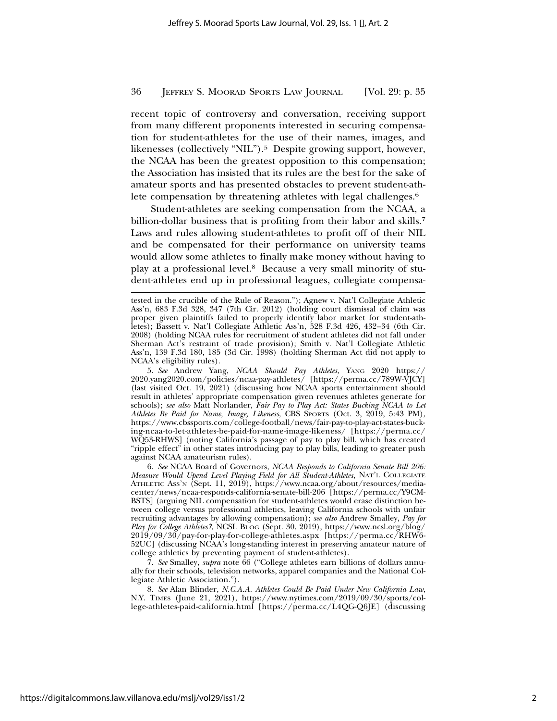recent topic of controversy and conversation, receiving support from many different proponents interested in securing compensation for student-athletes for the use of their names, images, and likenesses (collectively "NIL").<sup>5</sup> Despite growing support, however, the NCAA has been the greatest opposition to this compensation; the Association has insisted that its rules are the best for the sake of amateur sports and has presented obstacles to prevent student-athlete compensation by threatening athletes with legal challenges.<sup>6</sup>

Student-athletes are seeking compensation from the NCAA, a billion-dollar business that is profiting from their labor and skills.<sup>7</sup> Laws and rules allowing student-athletes to profit off of their NIL and be compensated for their performance on university teams would allow some athletes to finally make money without having to play at a professional level.8 Because a very small minority of student-athletes end up in professional leagues, collegiate compensa-

5. *See* Andrew Yang, *NCAA Should Pay Athletes*, YANG 2020 https:// 2020.yang2020.com/policies/ncaa-pay-athletes/ [https://perma.cc/789W-VJCY] (last visited Oct. 19, 2021) (discussing how NCAA sports entertainment should result in athletes' appropriate compensation given revenues athletes generate for schools); *see also* Matt Norlander, *Fair Pay to Play Act: States Bucking NCAA to Let Athletes Be Paid for Name, Image, Likeness*, CBS SPORTS (Oct. 3, 2019, 5:43 PM), https://www.cbssports.com/college-football/news/fair-pay-to-play-act-states-bucking-ncaa-to-let-athletes-be-paid-for-name-image-likeness/ [https://perma.cc/ WQ53-RHWS] (noting California's passage of pay to play bill, which has created "ripple effect" in other states introducing pay to play bills, leading to greater push against NCAA amateurism rules).

6. *See* NCAA Board of Governors, *NCAA Responds to California Senate Bill 206: Measure Would Upend Level Playing Field for All Student-Athletes*, NAT'L COLLEGIATE ATHLETIC ASS'N (Sept. 11, 2019), https://www.ncaa.org/about/resources/mediacenter/news/ncaa-responds-california-senate-bill-206 [https://perma.cc/Y9CM-BSTS] (arguing NIL compensation for student-athletes would erase distinction between college versus professional athletics, leaving California schools with unfair recruiting advantages by allowing compensation); *see also* Andrew Smalley, *Pay for Play for College Athletes?*, NCSL BLOG (Sept. 30, 2019), https://www.ncsl.org/blog/ 2019/09/30/pay-for-play-for-college-athletes.aspx [https://perma.cc/RHW6- 52UC] (discussing NCAA's long-standing interest in preserving amateur nature of college athletics by preventing payment of student-athletes).

7. *See* Smalley, *supra* note 66 ("College athletes earn billions of dollars annually for their schools, television networks, apparel companies and the National Collegiate Athletic Association.").

8. *See* Alan Blinder, *N.C.A.A. Athletes Could Be Paid Under New California Law*, N.Y. TIMES (June 21, 2021), https://www.nytimes.com/2019/09/30/sports/college-athletes-paid-california.html [https://perma.cc/L4QG-Q6JE] (discussing

tested in the crucible of the Rule of Reason."); Agnew v. Nat'l Collegiate Athletic Ass'n, 683 F.3d 328, 347 (7th Cir. 2012) (holding court dismissal of claim was proper given plaintiffs failed to properly identify labor market for student-athletes); Bassett v. Nat'l Collegiate Athletic Ass'n, 528 F.3d 426, 432–34 (6th Cir. 2008) (holding NCAA rules for recruitment of student athletes did not fall under Sherman Act's restraint of trade provision); Smith v. Nat'l Collegiate Athletic Ass'n, 139 F.3d 180, 185 (3d Cir. 1998) (holding Sherman Act did not apply to NCAA's eligibility rules).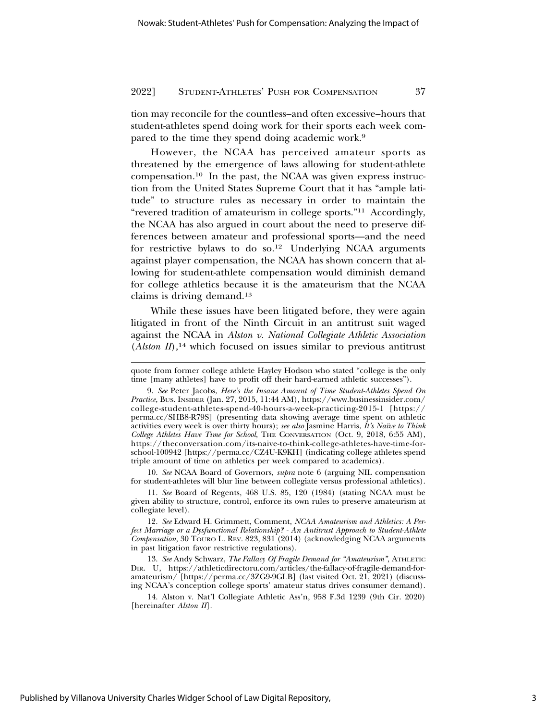tion may reconcile for the countless–and often excessive–hours that student-athletes spend doing work for their sports each week compared to the time they spend doing academic work.9

However, the NCAA has perceived amateur sports as threatened by the emergence of laws allowing for student-athlete compensation.10 In the past, the NCAA was given express instruction from the United States Supreme Court that it has "ample latitude" to structure rules as necessary in order to maintain the "revered tradition of amateurism in college sports."11 Accordingly, the NCAA has also argued in court about the need to preserve differences between amateur and professional sports—and the need for restrictive bylaws to do so.12 Underlying NCAA arguments against player compensation, the NCAA has shown concern that allowing for student-athlete compensation would diminish demand for college athletics because it is the amateurism that the NCAA claims is driving demand.13

While these issues have been litigated before, they were again litigated in front of the Ninth Circuit in an antitrust suit waged against the NCAA in *Alston v. National Collegiate Athletic Association* (*Alston II*)*,*<sup>14</sup> which focused on issues similar to previous antitrust

10. *See* NCAA Board of Governors, *supra* note 6 (arguing NIL compensation for student-athletes will blur line between collegiate versus professional athletics).

11. *See* Board of Regents, 468 U.S. 85, 120 (1984) (stating NCAA must be given ability to structure, control, enforce its own rules to preserve amateurism at collegiate level).

12. *See* Edward H. Grimmett, Comment, *NCAA Amateurism and Athletics: A Perfect Marriage or a Dysfunctional Relationship? - An Antitrust Approach to Student-Athlete Compensation*, 30 TOURO L. REV. 823, 831 (2014) (acknowledging NCAA arguments in past litigation favor restrictive regulations).

13. *See* Andy Schwarz, *The Fallacy Of Fragile Demand for "Amateurism"*, ATHLETIC DIR. U, https://athleticdirectoru.com/articles/the-fallacy-of-fragile-demand-foramateurism/ [https://perma.cc/3ZG9-9GLB] (last visited Oct. 21, 2021) (discussing NCAA's conception college sports' amateur status drives consumer demand).

14. Alston v. Nat'l Collegiate Athletic Ass'n, 958 F.3d 1239 (9th Cir. 2020) [hereinafter *Alston II*]*.*

quote from former college athlete Hayley Hodson who stated "college is the only time [many athletes] have to profit off their hard-earned athletic successes").

<sup>9.</sup> *See* Peter Jacobs, *Here's the Insane Amount of Time Student-Athletes Spend On Practice*, BUS. INSIDER (Jan. 27, 2015, 11:44 AM), https://www.businessinsider.com/ college-student-athletes-spend-40-hours-a-week-practicing-2015-1 [https:// perma.cc/SHB8-R79S] (presenting data showing average time spent on athletic activities every week is over thirty hours); *see also* Jasmine Harris, *It's Na¨ıve to Think College Athletes Have Time for School*, THE CONVERSATION (Oct. 9, 2018, 6:55 AM), https://theconversation.com/its-naive-to-think-college-athletes-have-time-forschool-100942 [https://perma.cc/CZ4U-K9KH] (indicating college athletes spend triple amount of time on athletics per week compared to academics).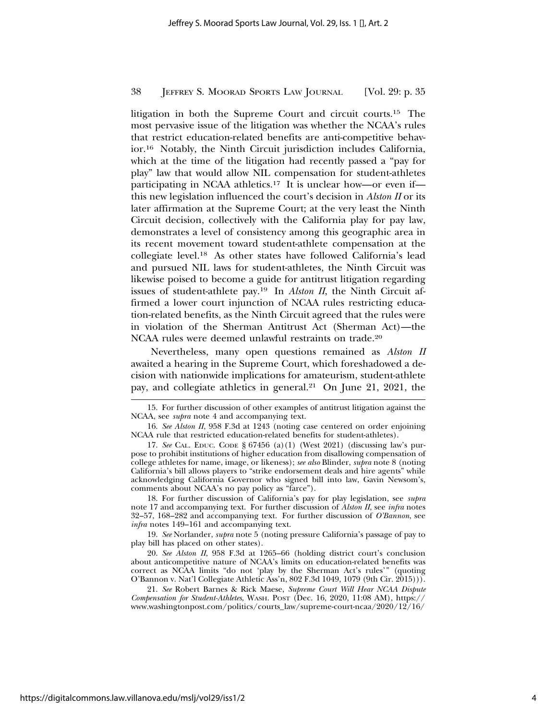litigation in both the Supreme Court and circuit courts.15 The most pervasive issue of the litigation was whether the NCAA's rules that restrict education-related benefits are anti-competitive behavior.16 Notably, the Ninth Circuit jurisdiction includes California, which at the time of the litigation had recently passed a "pay for play" law that would allow NIL compensation for student-athletes participating in NCAA athletics.17 It is unclear how—or even if this new legislation influenced the court's decision in *Alston II* or its later affirmation at the Supreme Court; at the very least the Ninth Circuit decision, collectively with the California play for pay law, demonstrates a level of consistency among this geographic area in its recent movement toward student-athlete compensation at the collegiate level.18 As other states have followed California's lead and pursued NIL laws for student-athletes, the Ninth Circuit was likewise poised to become a guide for antitrust litigation regarding issues of student-athlete pay.19 In *Alston II*, the Ninth Circuit affirmed a lower court injunction of NCAA rules restricting education-related benefits, as the Ninth Circuit agreed that the rules were in violation of the Sherman Antitrust Act (Sherman Act)—the NCAA rules were deemed unlawful restraints on trade.20

Nevertheless, many open questions remained as *Alston II* awaited a hearing in the Supreme Court, which foreshadowed a decision with nationwide implications for amateurism, student-athlete pay, and collegiate athletics in general.21 On June 21, 2021, the

19. *See* Norlander, *supra* note 5 (noting pressure California's passage of pay to play bill has placed on other states).

20. *See Alston II*, 958 F.3d at 1265–66 (holding district court's conclusion about anticompetitive nature of NCAA's limits on education-related benefits was correct as NCAA limits "do not 'play by the Sherman Act's rules'" (quoting O'Bannon v. Nat'l Collegiate Athletic Ass'n, 802 F.3d 1049, 1079 (9th Cir. 2015))).

<sup>15.</sup> For further discussion of other examples of antitrust litigation against the NCAA, see *supra* note 4 and accompanying text.

<sup>16.</sup> *See Alston II*, 958 F.3d at 1243 (noting case centered on order enjoining NCAA rule that restricted education-related benefits for student-athletes).

<sup>17.</sup> *See* CAL. EDUC. CODE § 67456 (a)(1) (West 2021) (discussing law's purpose to prohibit institutions of higher education from disallowing compensation of college athletes for name, image, or likeness); *see also* Blinder, *supra* note 8 (noting California's bill allows players to "strike endorsement deals and hire agents" while acknowledging California Governor who signed bill into law, Gavin Newsom's, comments about NCAA's no pay policy as "farce").

<sup>18.</sup> For further discussion of California's pay for play legislation, see *supra* note 17 and accompanying text. For further discussion of *Alston II*, see *infra* notes 32–57, 168–282 and accompanying text. For further discussion of *O'Bannon*, see *infra* notes 149–161 and accompanying text.

<sup>21.</sup> *See* Robert Barnes & Rick Maese, *Supreme Court Will Hear NCAA Dispute Compensation for Student-Athletes*, WASH. POST (Dec. 16, 2020, 11:08 AM), https:// www.washingtonpost.com/politics/courts\_law/supreme-court-ncaa/2020/12/16/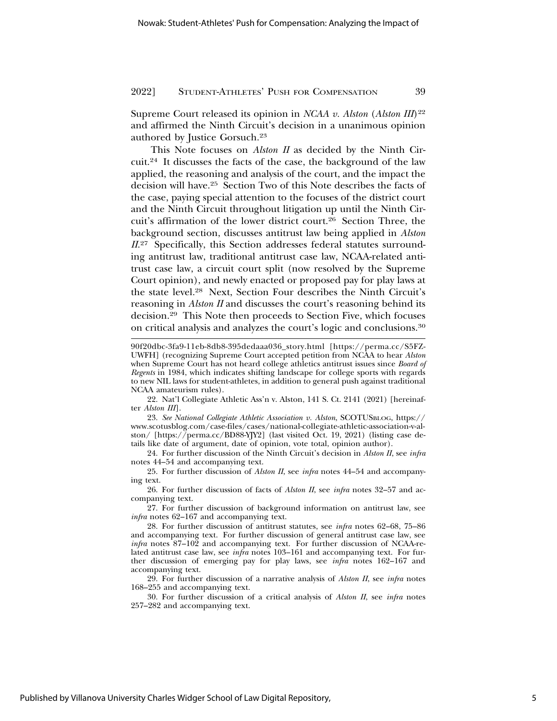Supreme Court released its opinion in *NCAA v. Alston (Alston III*)<sup>22</sup> and affirmed the Ninth Circuit's decision in a unanimous opinion authored by Justice Gorsuch.23

This Note focuses on *Alston II* as decided by the Ninth Circuit.24 It discusses the facts of the case, the background of the law applied, the reasoning and analysis of the court, and the impact the decision will have.25 Section Two of this Note describes the facts of the case, paying special attention to the focuses of the district court and the Ninth Circuit throughout litigation up until the Ninth Circuit's affirmation of the lower district court.26 Section Three, the background section, discusses antitrust law being applied in *Alston* II.<sup>27</sup> Specifically, this Section addresses federal statutes surrounding antitrust law, traditional antitrust case law, NCAA-related antitrust case law, a circuit court split (now resolved by the Supreme Court opinion), and newly enacted or proposed pay for play laws at the state level.28 Next, Section Four describes the Ninth Circuit's reasoning in *Alston II* and discusses the court's reasoning behind its decision.29 This Note then proceeds to Section Five, which focuses on critical analysis and analyzes the court's logic and conclusions.30

22. Nat'l Collegiate Athletic Ass'n v. Alston, 141 S. Ct. 2141 (2021) [hereinafter *Alston III*].

23. *See National Collegiate Athletic Association v. Alston*, SCOTUSBLOG, https:// www.scotusblog.com/case-files/cases/national-collegiate-athletic-association-v-alston/ [https://perma.cc/BD88-YJY2] (last visited Oct. 19, 2021) (listing case details like date of argument, date of opinion, vote total, opinion author).

24. For further discussion of the Ninth Circuit's decision in *Alston II*, see *infra* notes 44–54 and accompanying text.

25. For further discussion of *Alston II*, see *infra* notes 44–54 and accompanying text.

26. For further discussion of facts of *Alston II*, see *infra* notes 32–57 and accompanying text.

27. For further discussion of background information on antitrust law, see *infra* notes 62–167 and accompanying text.

29. For further discussion of a narrative analysis of *Alston II*, see *infra* notes 168–255 and accompanying text.

30. For further discussion of a critical analysis of *Alston II*, see *infra* notes 257–282 and accompanying text.

<sup>90</sup>f20dbc-3fa9-11eb-8db8-395dedaaa036\_story.html [https://perma.cc/S5FZ-UWFH] (recognizing Supreme Court accepted petition from NCAA to hear *Alston* when Supreme Court has not heard college athletics antitrust issues since *Board of Regents* in 1984, which indicates shifting landscape for college sports with regards to new NIL laws for student-athletes, in addition to general push against traditional NCAA amateurism rules).

<sup>28.</sup> For further discussion of antitrust statutes, see *infra* notes 62–68, 75–86 and accompanying text. For further discussion of general antitrust case law, see *infra* notes 87–102 and accompanying text. For further discussion of NCAA-related antitrust case law, see *infra* notes 103–161 and accompanying text. For further discussion of emerging pay for play laws, see *infra* notes 162–167 and accompanying text.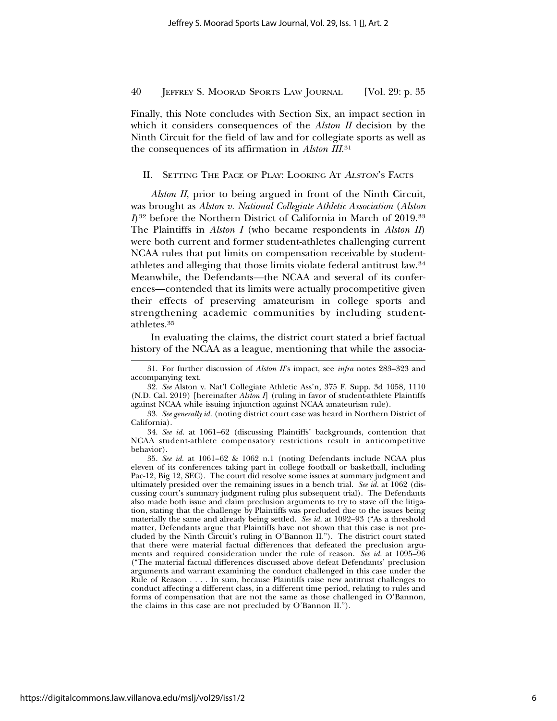Finally, this Note concludes with Section Six, an impact section in which it considers consequences of the *Alston II* decision by the Ninth Circuit for the field of law and for collegiate sports as well as the consequences of its affirmation in *Alston III*. 31

## II. SETTING THE PACE OF PLAY: LOOKING AT <sup>A</sup>LSTON'S FACTS

*Alston II*, prior to being argued in front of the Ninth Circuit, was brought as *Alston v. National Collegiate Athletic Association* (*Alston I*)<sup>32</sup> before the Northern District of California in March of 2019.<sup>33</sup> The Plaintiffs in *Alston I* (who became respondents in *Alston II*) were both current and former student-athletes challenging current NCAA rules that put limits on compensation receivable by studentathletes and alleging that those limits violate federal antitrust law.34 Meanwhile, the Defendants—the NCAA and several of its conferences—contended that its limits were actually procompetitive given their effects of preserving amateurism in college sports and strengthening academic communities by including studentathletes.35

In evaluating the claims, the district court stated a brief factual history of the NCAA as a league, mentioning that while the associa-

<sup>31.</sup> For further discussion of *Alston II*'s impact, see *infra* notes 283–323 and accompanying text.

<sup>32.</sup> *See* Alston v. Nat'l Collegiate Athletic Ass'n, 375 F. Supp. 3d 1058, 1110 (N.D. Cal. 2019) [hereinafter *Alston I*] (ruling in favor of student-athlete Plaintiffs against NCAA while issuing injunction against NCAA amateurism rule).

<sup>33.</sup> *See generally id.* (noting district court case was heard in Northern District of California).

<sup>34.</sup> *See id.* at 1061–62 (discussing Plaintiffs' backgrounds, contention that NCAA student-athlete compensatory restrictions result in anticompetitive behavior).

<sup>35.</sup> *See id.* at 1061–62 & 1062 n.1 (noting Defendants include NCAA plus eleven of its conferences taking part in college football or basketball, including Pac-12, Big 12, SEC). The court did resolve some issues at summary judgment and ultimately presided over the remaining issues in a bench trial. *See id.* at 1062 (discussing court's summary judgment ruling plus subsequent trial). The Defendants also made both issue and claim preclusion arguments to try to stave off the litigation, stating that the challenge by Plaintiffs was precluded due to the issues being materially the same and already being settled. *See id.* at 1092–93 ("As a threshold matter, Defendants argue that Plaintiffs have not shown that this case is not precluded by the Ninth Circuit's ruling in O'Bannon II."). The district court stated that there were material factual differences that defeated the preclusion arguments and required consideration under the rule of reason. *See id.* at 1095–96 ("The material factual differences discussed above defeat Defendants' preclusion arguments and warrant examining the conduct challenged in this case under the Rule of Reason . . . . In sum, because Plaintiffs raise new antitrust challenges to conduct affecting a different class, in a different time period, relating to rules and forms of compensation that are not the same as those challenged in O'Bannon, the claims in this case are not precluded by O'Bannon II.").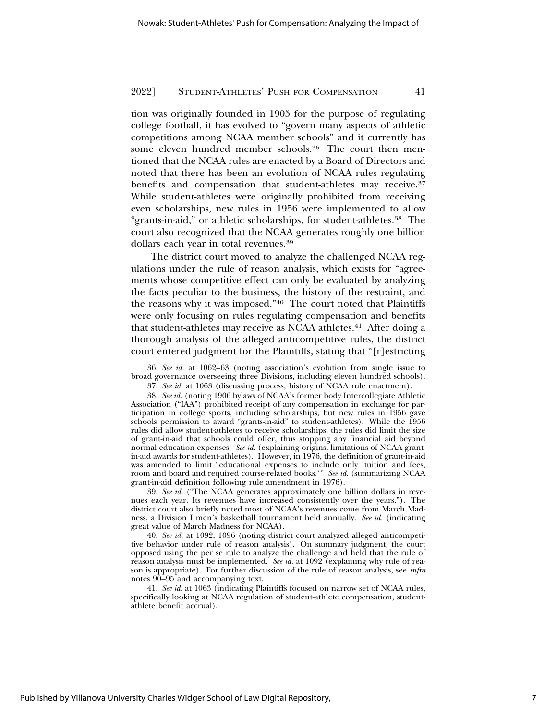tion was originally founded in 1905 for the purpose of regulating college football, it has evolved to "govern many aspects of athletic competitions among NCAA member schools" and it currently has some eleven hundred member schools.<sup>36</sup> The court then mentioned that the NCAA rules are enacted by a Board of Directors and noted that there has been an evolution of NCAA rules regulating benefits and compensation that student-athletes may receive.<sup>37</sup> While student-athletes were originally prohibited from receiving even scholarships, new rules in 1956 were implemented to allow "grants-in-aid," or athletic scholarships, for student-athletes.38 The court also recognized that the NCAA generates roughly one billion dollars each year in total revenues.39

The district court moved to analyze the challenged NCAA regulations under the rule of reason analysis, which exists for "agreements whose competitive effect can only be evaluated by analyzing the facts peculiar to the business, the history of the restraint, and the reasons why it was imposed."40 The court noted that Plaintiffs were only focusing on rules regulating compensation and benefits that student-athletes may receive as NCAA athletes.<sup>41</sup> After doing a thorough analysis of the alleged anticompetitive rules, the district court entered judgment for the Plaintiffs, stating that "[r]estricting

36. *See id.* at 1062–63 (noting association's evolution from single issue to broad governance overseeing three Divisions, including eleven hundred schools). 37. *See id.* at 1063 (discussing process, history of NCAA rule enactment).

38. *See id.* (noting 1906 bylaws of NCAA's former body Intercollegiate Athletic Association ("IAA") prohibited receipt of any compensation in exchange for participation in college sports, including scholarships, but new rules in 1956 gave schools permission to award "grants-in-aid" to student-athletes). While the 1956 rules did allow student-athletes to receive scholarships, the rules did limit the size of grant-in-aid that schools could offer, thus stopping any financial aid beyond normal education expenses. *See id.* (explaining origins, limitations of NCAA grantin-aid awards for student-athletes). However, in 1976, the definition of grant-in-aid was amended to limit "educational expenses to include only 'tuition and fees, room and board and required course-related books.'" *See id.* (summarizing NCAA grant-in-aid definition following rule amendment in 1976).

39. *See id.* ("The NCAA generates approximately one billion dollars in revenues each year. Its revenues have increased consistently over the years."). The district court also briefly noted most of NCAA's revenues come from March Madness, a Division I men's basketball tournament held annually. *See id.* (indicating great value of March Madness for NCAA).

40. *See id.* at 1092, 1096 (noting district court analyzed alleged anticompetitive behavior under rule of reason analysis). On summary judgment, the court opposed using the per se rule to analyze the challenge and held that the rule of reason analysis must be implemented. *See id.* at 1092 (explaining why rule of reason is appropriate). For further discussion of the rule of reason analysis, see *infra* notes 90–95 and accompanying text.

41. *See id.* at 1063 (indicating Plaintiffs focused on narrow set of NCAA rules, specifically looking at NCAA regulation of student-athlete compensation, studentathlete benefit accrual).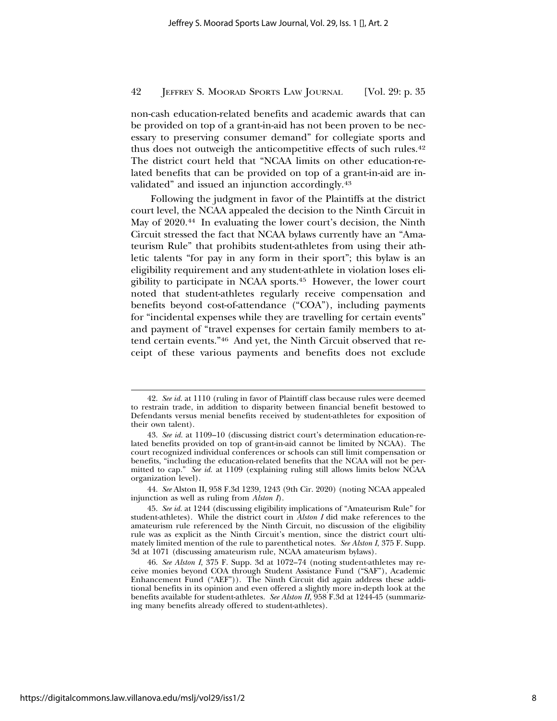non-cash education-related benefits and academic awards that can be provided on top of a grant-in-aid has not been proven to be necessary to preserving consumer demand" for collegiate sports and thus does not outweigh the anticompetitive effects of such rules.<sup>42</sup> The district court held that "NCAA limits on other education-related benefits that can be provided on top of a grant-in-aid are invalidated" and issued an injunction accordingly.43

Following the judgment in favor of the Plaintiffs at the district court level, the NCAA appealed the decision to the Ninth Circuit in May of 2020.<sup>44</sup> In evaluating the lower court's decision, the Ninth Circuit stressed the fact that NCAA bylaws currently have an "Amateurism Rule" that prohibits student-athletes from using their athletic talents "for pay in any form in their sport"; this bylaw is an eligibility requirement and any student-athlete in violation loses eligibility to participate in NCAA sports.45 However, the lower court noted that student-athletes regularly receive compensation and benefits beyond cost-of-attendance ("COA"), including payments for "incidental expenses while they are travelling for certain events" and payment of "travel expenses for certain family members to attend certain events."46 And yet, the Ninth Circuit observed that receipt of these various payments and benefits does not exclude

44. *See* Alston II, 958 F.3d 1239, 1243 (9th Cir. 2020) (noting NCAA appealed injunction as well as ruling from *Alston I*).

<sup>42.</sup> *See id.* at 1110 (ruling in favor of Plaintiff class because rules were deemed to restrain trade, in addition to disparity between financial benefit bestowed to Defendants versus menial benefits received by student-athletes for exposition of their own talent).

<sup>43.</sup> *See id.* at 1109–10 (discussing district court's determination education-related benefits provided on top of grant-in-aid cannot be limited by NCAA). The court recognized individual conferences or schools can still limit compensation or benefits, "including the education-related benefits that the NCAA will not be permitted to cap." *See id.* at 1109 (explaining ruling still allows limits below NCAA organization level).

<sup>45.</sup> *See id.* at 1244 (discussing eligibility implications of "Amateurism Rule" for student-athletes). While the district court in *Alston I* did make references to the amateurism rule referenced by the Ninth Circuit, no discussion of the eligibility rule was as explicit as the Ninth Circuit's mention, since the district court ultimately limited mention of the rule to parenthetical notes. *See Alston I*, 375 F. Supp. 3d at 1071 (discussing amateurism rule, NCAA amateurism bylaws).

<sup>46.</sup> *See Alston I*, 375 F. Supp. 3d at 1072–74 (noting student-athletes may receive monies beyond COA through Student Assistance Fund ("SAF"), Academic Enhancement Fund ("AEF")). The Ninth Circuit did again address these additional benefits in its opinion and even offered a slightly more in-depth look at the benefits available for student-athletes. *See Alston II*, 958 F.3d at 1244-45 (summarizing many benefits already offered to student-athletes).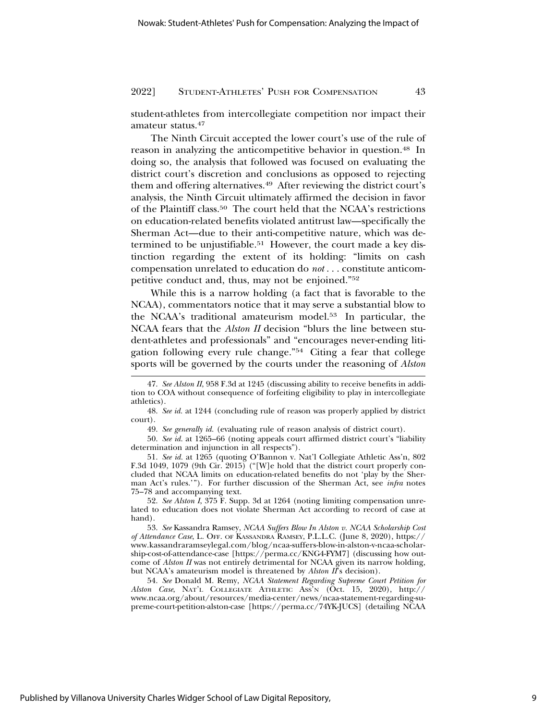student-athletes from intercollegiate competition nor impact their amateur status.47

The Ninth Circuit accepted the lower court's use of the rule of reason in analyzing the anticompetitive behavior in question.48 In doing so, the analysis that followed was focused on evaluating the district court's discretion and conclusions as opposed to rejecting them and offering alternatives.49 After reviewing the district court's analysis, the Ninth Circuit ultimately affirmed the decision in favor of the Plaintiff class.50 The court held that the NCAA's restrictions on education-related benefits violated antitrust law—specifically the Sherman Act—due to their anti-competitive nature, which was determined to be unjustifiable.<sup>51</sup> However, the court made a key distinction regarding the extent of its holding: "limits on cash compensation unrelated to education do *not* . . . constitute anticompetitive conduct and, thus, may not be enjoined."52

While this is a narrow holding (a fact that is favorable to the NCAA), commentators notice that it may serve a substantial blow to the NCAA's traditional amateurism model.53 In particular, the NCAA fears that the *Alston II* decision "blurs the line between student-athletes and professionals" and "encourages never-ending litigation following every rule change."54 Citing a fear that college sports will be governed by the courts under the reasoning of *Alston*

50. *See id.* at 1265–66 (noting appeals court affirmed district court's "liability determination and injunction in all respects").

51. *See id.* at 1265 (quoting O'Bannon v. Nat'l Collegiate Athletic Ass'n, 802 F.3d 1049, 1079 (9th Cir. 2015) ("[W]e hold that the district court properly concluded that NCAA limits on education-related benefits do not 'play by the Sherman Act's rules.'"). For further discussion of the Sherman Act, see *infra* notes 75–78 and accompanying text.

52. *See Alston I*, 375 F. Supp. 3d at 1264 (noting limiting compensation unrelated to education does not violate Sherman Act according to record of case at hand).

53. *See* Kassandra Ramsey, *NCAA Suffers Blow In Alston v. NCAA Scholarship Cost of Attendance Case*, L. OFF. OF KASSANDRA RAMSEY, P.L.L.C. (June 8, 2020), https:// www.kassandraramseylegal.com/blog/ncaa-suffers-blow-in-alston-v-ncaa-scholarship-cost-of-attendance-case [https://perma.cc/KNG4-FYM7] (discussing how outcome of *Alston II* was not entirely detrimental for NCAA given its narrow holding, but NCAA's amateurism model is threatened by *Alston II*'s decision).

54. *See* Donald M. Remy, *NCAA Statement Regarding Supreme Court Petition for Alston Case*, NAT'L COLLEGIATE ATHLETIC ASS'N (Oct. 15, 2020), http:// www.ncaa.org/about/resources/media-center/news/ncaa-statement-regarding-supreme-court-petition-alston-case [https://perma.cc/74YK-JUCS] (detailing NCAA

<sup>47.</sup> *See Alston II*, 958 F.3d at 1245 (discussing ability to receive benefits in addition to COA without consequence of forfeiting eligibility to play in intercollegiate athletics).

<sup>48.</sup> *See id.* at 1244 (concluding rule of reason was properly applied by district court).

<sup>49.</sup> *See generally id.* (evaluating rule of reason analysis of district court).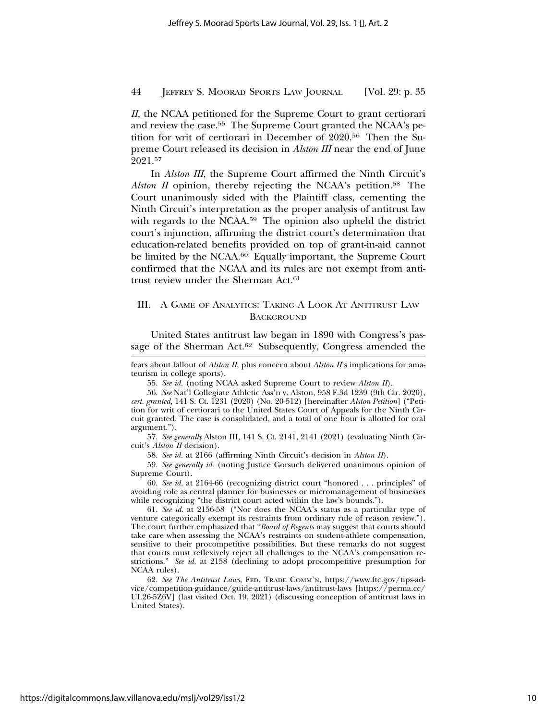*II*, the NCAA petitioned for the Supreme Court to grant certiorari and review the case.55 The Supreme Court granted the NCAA's petition for writ of certiorari in December of 2020.56 Then the Supreme Court released its decision in *Alston III* near the end of June 2021.57

In *Alston III*, the Supreme Court affirmed the Ninth Circuit's *Alston II* opinion, thereby rejecting the NCAA's petition.<sup>58</sup> The Court unanimously sided with the Plaintiff class, cementing the Ninth Circuit's interpretation as the proper analysis of antitrust law with regards to the NCAA.59 The opinion also upheld the district court's injunction, affirming the district court's determination that education-related benefits provided on top of grant-in-aid cannot be limited by the NCAA.60 Equally important, the Supreme Court confirmed that the NCAA and its rules are not exempt from antitrust review under the Sherman Act.<sup>61</sup>

## III. A GAME OF ANALYTICS: TAKING A LOOK AT ANTITRUST LAW **BACKGROUND**

United States antitrust law began in 1890 with Congress's passage of the Sherman Act.<sup>62</sup> Subsequently, Congress amended the

fears about fallout of *Alston II*, plus concern about *Alston II*'s implications for amateurism in college sports).

55. *See id.* (noting NCAA asked Supreme Court to review *Alston II*).

56. *See* Nat'l Collegiate Athletic Ass'n v. Alston, 958 F.3d 1239 (9th Cir. 2020), *cert. granted,* 141 S. Ct. 1231 (2020) (No. 20-512) [hereinafter *Alston Petition*] ("Petition for writ of certiorari to the United States Court of Appeals for the Ninth Circuit granted. The case is consolidated, and a total of one hour is allotted for oral argument.").

57. *See generally* Alston III, 141 S. Ct. 2141, 2141 (2021) (evaluating Ninth Circuit's *Alston II* decision).

58. *See id.* at 2166 (affirming Ninth Circuit's decision in *Alston II*).

59. *See generally id*. (noting Justice Gorsuch delivered unanimous opinion of Supreme Court).

60. *See id.* at 2164-66 (recognizing district court "honored . . . principles" of avoiding role as central planner for businesses or micromanagement of businesses while recognizing "the district court acted within the law's bounds.").

61. *See id.* at 2156-58 ("Nor does the NCAA's status as a particular type of venture categorically exempt its restraints from ordinary rule of reason review."). The court further emphasized that "*Board of Regents* may suggest that courts should take care when assessing the NCAA's restraints on student-athlete compensation, sensitive to their procompetitive possibilities. But these remarks do not suggest that courts must reflexively reject all challenges to the NCAA's compensation restrictions." *See id.* at 2158 (declining to adopt procompetitive presumption for NCAA rules).

62. *See The Antitrust Laws*, FED. TRADE COMM'N, https://www.ftc.gov/tips-advice/competition-guidance/guide-antitrust-laws/antitrust-laws [https://perma.cc/ UL26-5Z6V] (last visited Oct. 19, 2021) (discussing conception of antitrust laws in United States).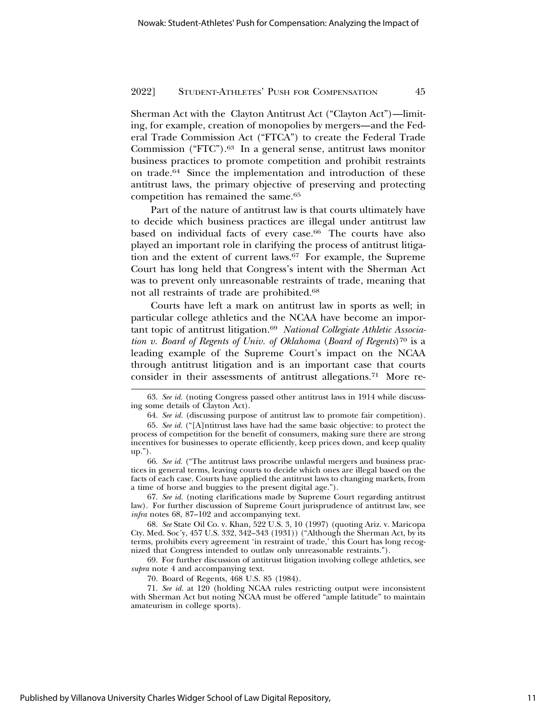Sherman Act with the Clayton Antitrust Act ("Clayton Act")—limiting, for example, creation of monopolies by mergers—and the Federal Trade Commission Act ("FTCA") to create the Federal Trade Commission ("FTC").63 In a general sense, antitrust laws monitor business practices to promote competition and prohibit restraints on trade.64 Since the implementation and introduction of these antitrust laws, the primary objective of preserving and protecting competition has remained the same.65

Part of the nature of antitrust law is that courts ultimately have to decide which business practices are illegal under antitrust law based on individual facts of every case.<sup>66</sup> The courts have also played an important role in clarifying the process of antitrust litigation and the extent of current laws.67 For example, the Supreme Court has long held that Congress's intent with the Sherman Act was to prevent only unreasonable restraints of trade, meaning that not all restraints of trade are prohibited.68

Courts have left a mark on antitrust law in sports as well; in particular college athletics and the NCAA have become an important topic of antitrust litigation.69 *National Collegiate Athletic Association v. Board of Regents of Univ. of Oklahoma (Board of Regents*)<sup>70</sup> is a leading example of the Supreme Court's impact on the NCAA through antitrust litigation and is an important case that courts consider in their assessments of antitrust allegations.71 More re-

67. *See id.* (noting clarifications made by Supreme Court regarding antitrust law). For further discussion of Supreme Court jurisprudence of antitrust law, see *infra* notes 68, 87–102 and accompanying text.

68. *See* State Oil Co. v. Khan, 522 U.S. 3, 10 (1997) (quoting Ariz. v. Maricopa Cty. Med. Soc'y, 457 U.S. 332, 342–343 (1931)) ("Although the Sherman Act, by its terms, prohibits every agreement 'in restraint of trade,' this Court has long recognized that Congress intended to outlaw only unreasonable restraints.").

69. For further discussion of antitrust litigation involving college athletics, see *supra* note 4 and accompanying text.

70. Board of Regents, 468 U.S. 85 (1984).

71. *See id.* at 120 (holding NCAA rules restricting output were inconsistent with Sherman Act but noting NCAA must be offered "ample latitude" to maintain amateurism in college sports).

<sup>63.</sup> *See id.* (noting Congress passed other antitrust laws in 1914 while discussing some details of Clayton Act).

<sup>64.</sup> *See id.* (discussing purpose of antitrust law to promote fair competition).

<sup>65.</sup> *See id.* ("[A]ntitrust laws have had the same basic objective: to protect the process of competition for the benefit of consumers, making sure there are strong incentives for businesses to operate efficiently, keep prices down, and keep quality up.").

<sup>66.</sup> *See id.* ("The antitrust laws proscribe unlawful mergers and business practices in general terms, leaving courts to decide which ones are illegal based on the facts of each case. Courts have applied the antitrust laws to changing markets, from a time of horse and buggies to the present digital age.").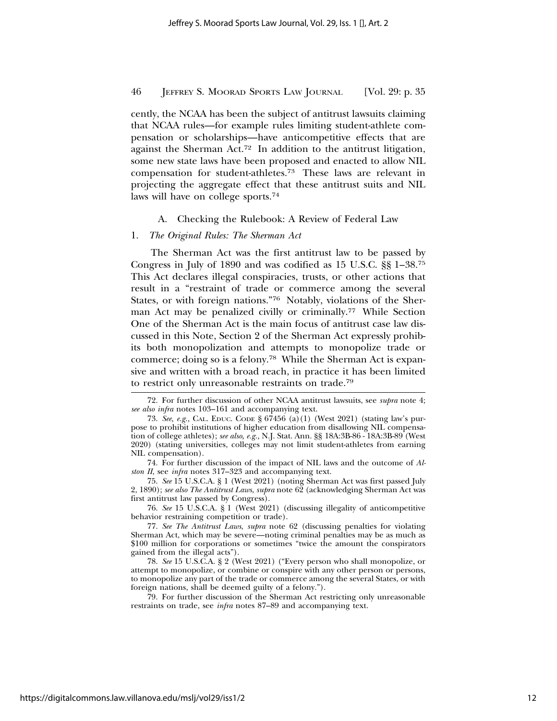cently, the NCAA has been the subject of antitrust lawsuits claiming that NCAA rules—for example rules limiting student-athlete compensation or scholarships—have anticompetitive effects that are against the Sherman Act.72 In addition to the antitrust litigation, some new state laws have been proposed and enacted to allow NIL compensation for student-athletes.73 These laws are relevant in projecting the aggregate effect that these antitrust suits and NIL laws will have on college sports.74

## A. Checking the Rulebook: A Review of Federal Law

## 1. *The Original Rules: The Sherman Act*

The Sherman Act was the first antitrust law to be passed by Congress in July of 1890 and was codified as 15 U.S.C. §§ 1–38.75 This Act declares illegal conspiracies, trusts, or other actions that result in a "restraint of trade or commerce among the several States, or with foreign nations."76 Notably, violations of the Sherman Act may be penalized civilly or criminally.<sup>77</sup> While Section One of the Sherman Act is the main focus of antitrust case law discussed in this Note, Section 2 of the Sherman Act expressly prohibits both monopolization and attempts to monopolize trade or commerce; doing so is a felony.78 While the Sherman Act is expansive and written with a broad reach, in practice it has been limited to restrict only unreasonable restraints on trade.79

74. For further discussion of the impact of NIL laws and the outcome of *Alston II*, see *infra* notes 317–323 and accompanying text.

75. *See* 15 U.S.C.A. § 1 (West 2021) (noting Sherman Act was first passed July 2, 1890); *see also The Antitrust Laws*, *supra* note 62 (acknowledging Sherman Act was first antitrust law passed by Congress).

76. *See* 15 U.S.C.A. § 1 (West 2021) (discussing illegality of anticompetitive behavior restraining competition or trade).

77. *See The Antitrust Laws*, *supra* note 62 (discussing penalties for violating Sherman Act, which may be severe—noting criminal penalties may be as much as \$100 million for corporations or sometimes "twice the amount the conspirators gained from the illegal acts").

78. *See* 15 U.S.C.A. § 2 (West 2021) ("Every person who shall monopolize, or attempt to monopolize, or combine or conspire with any other person or persons, to monopolize any part of the trade or commerce among the several States, or with foreign nations, shall be deemed guilty of a felony.").

79. For further discussion of the Sherman Act restricting only unreasonable restraints on trade, see *infra* notes 87–89 and accompanying text.

<sup>72.</sup> For further discussion of other NCAA antitrust lawsuits, see *supra* note 4; *see also infra* notes 103–161 and accompanying text.

<sup>73.</sup> *See, e.g.,* CAL. EDUC. CODE § 67456 (a)(1) (West 2021) (stating law's purpose to prohibit institutions of higher education from disallowing NIL compensation of college athletes); *see also, e.g.,* N.J. Stat. Ann. §§ 18A:3B-86 - 18A:3B-89 (West 2020) (stating universities, colleges may not limit student-athletes from earning NIL compensation).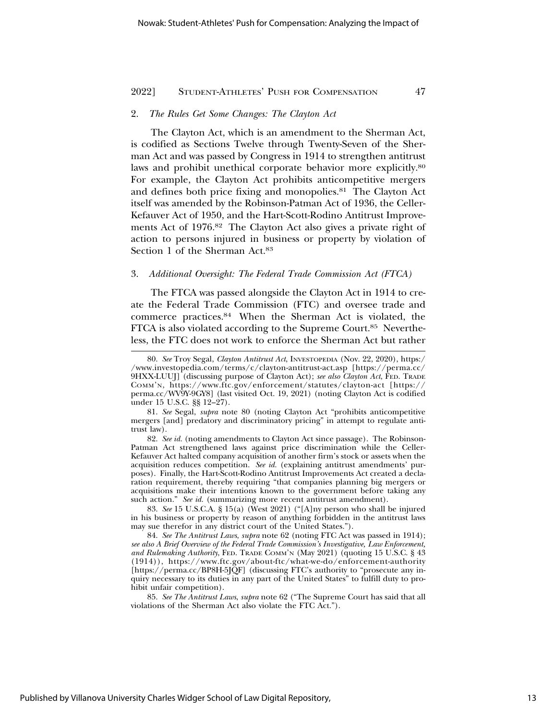## 2. *The Rules Get Some Changes: The Clayton Act*

The Clayton Act, which is an amendment to the Sherman Act, is codified as Sections Twelve through Twenty-Seven of the Sherman Act and was passed by Congress in 1914 to strengthen antitrust laws and prohibit unethical corporate behavior more explicitly.<sup>80</sup> For example, the Clayton Act prohibits anticompetitive mergers and defines both price fixing and monopolies.81 The Clayton Act itself was amended by the Robinson-Patman Act of 1936, the Celler-Kefauver Act of 1950, and the Hart-Scott-Rodino Antitrust Improvements Act of 1976.82 The Clayton Act also gives a private right of action to persons injured in business or property by violation of Section 1 of the Sherman Act.83

#### 3. *Additional Oversight: The Federal Trade Commission Act (FTCA)*

The FTCA was passed alongside the Clayton Act in 1914 to create the Federal Trade Commission (FTC) and oversee trade and commerce practices.84 When the Sherman Act is violated, the FTCA is also violated according to the Supreme Court.85 Nevertheless, the FTC does not work to enforce the Sherman Act but rather

<sup>80.</sup> *See* Troy Segal, *Clayton Antitrust Act*, INVESTOPEDIA (Nov. 22, 2020), https:/ /www.investopedia.com/terms/c/clayton-antitrust-act.asp [https://perma.cc/ 9HXX-LUUJ] (discussing purpose of Clayton Act); *see also Clayton Act*, FED. TRADE COMM'N, https://www.ftc.gov/enforcement/statutes/clayton-act [https:// perma.cc/WV9Y-9GY8] (last visited Oct. 19, 2021) (noting Clayton Act is codified under 15 U.S.C. §§ 12–27).

<sup>81.</sup> *See* Segal, *supra* note 80 (noting Clayton Act "prohibits anticompetitive mergers [and] predatory and discriminatory pricing" in attempt to regulate antitrust law).

<sup>82.</sup> *See id.* (noting amendments to Clayton Act since passage). The Robinson-Patman Act strengthened laws against price discrimination while the Celler-Kefauver Act halted company acquisition of another firm's stock or assets when the acquisition reduces competition. *See id.* (explaining antitrust amendments' purposes). Finally, the Hart-Scott-Rodino Antitrust Improvements Act created a declaration requirement, thereby requiring "that companies planning big mergers or acquisitions make their intentions known to the government before taking any such action." *See id.* (summarizing more recent antitrust amendment).

<sup>83.</sup> *See* 15 U.S.C.A. § 15(a) (West 2021) ("[A]ny person who shall be injured in his business or property by reason of anything forbidden in the antitrust laws may sue therefor in any district court of the United States.").

<sup>84.</sup> *See The Antitrust Laws*, *supra* note 62 (noting FTC Act was passed in 1914); *see also A Brief Overview of the Federal Trade Commission's Investigative, Law Enforcement, and Rulemaking Authority*, FED. TRADE COMM'N (May 2021) (quoting 15 U.S.C. § 43 (1914)), https://www.ftc.gov/about-ftc/what-we-do/enforcement-authority [https://perma.cc/BP8H-5JQF] (discussing FTC's authority to "prosecute any inquiry necessary to its duties in any part of the United States" to fulfill duty to prohibit unfair competition).

<sup>85.</sup> *See The Antitrust Laws*, *supra* note 62 ("The Supreme Court has said that all violations of the Sherman Act also violate the FTC Act.").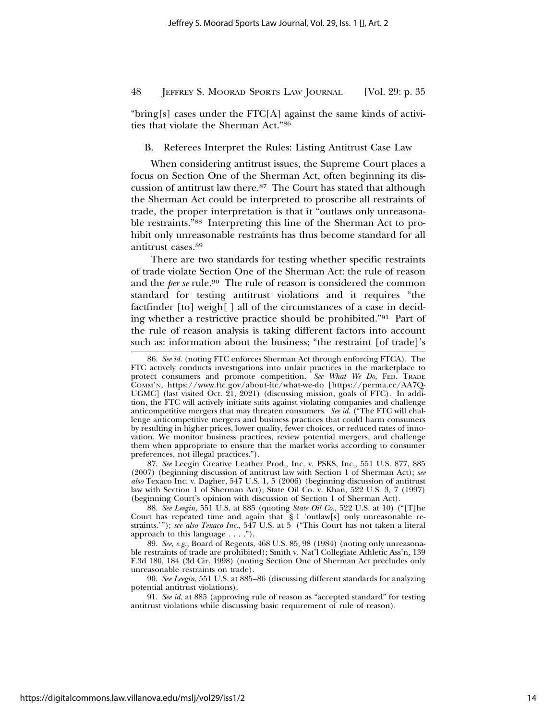"bring[s] cases under the FTC[A] against the same kinds of activities that violate the Sherman Act."86

B. Referees Interpret the Rules: Listing Antitrust Case Law

When considering antitrust issues, the Supreme Court places a focus on Section One of the Sherman Act, often beginning its discussion of antitrust law there.87 The Court has stated that although the Sherman Act could be interpreted to proscribe all restraints of trade, the proper interpretation is that it "outlaws only unreasonable restraints."88 Interpreting this line of the Sherman Act to prohibit only unreasonable restraints has thus become standard for all antitrust cases.89

There are two standards for testing whether specific restraints of trade violate Section One of the Sherman Act: the rule of reason and the *per se* rule.<sup>90</sup> The rule of reason is considered the common standard for testing antitrust violations and it requires "the factfinder [to] weigh[ ] all of the circumstances of a case in deciding whether a restrictive practice should be prohibited."91 Part of the rule of reason analysis is taking different factors into account such as: information about the business; "the restraint [of trade]'s

87. *See* Leegin Creative Leather Prod., Inc. v. PSKS, Inc., 551 U.S. 877, 885 (2007) (beginning discussion of antitrust law with Section 1 of Sherman Act); *see also* Texaco Inc. v. Dagher, 547 U.S. 1, 5 (2006) (beginning discussion of antitrust law with Section 1 of Sherman Act); State Oil Co. v. Khan, 522 U.S. 3, 7 (1997) (beginning Court's opinion with discussion of Section 1 of Sherman Act).

88. *See Leegin*, 551 U.S. at 885 (quoting *State Oil Co.*, 522 U.S. at 10) ("[T]he Court has repeated time and again that  $\S 1$  'outlaw[s] only unreasonable restraints.'"); *see also Texaco Inc.*, 547 U.S. at 5 ("This Court has not taken a literal approach to this language . . . .").

89. *See, e.g.,* Board of Regents, 468 U.S. 85, 98 (1984) (noting only unreasonable restraints of trade are prohibited); Smith v. Nat'l Collegiate Athletic Ass'n, 139 F.3d 180, 184 (3d Cir. 1998) (noting Section One of Sherman Act precludes only unreasonable restraints on trade).

90. *See Leegin*, 551 U.S. at 885–86 (discussing different standards for analyzing potential antitrust violations).

91. *See id.* at 885 (approving rule of reason as "accepted standard" for testing antitrust violations while discussing basic requirement of rule of reason).

<sup>86.</sup> *See id.* (noting FTC enforces Sherman Act through enforcing FTCA). The FTC actively conducts investigations into unfair practices in the marketplace to protect consumers and promote competition. *See What We Do*, FED. TRADE COMM'N, https://www.ftc.gov/about-ftc/what-we-do [https://perma.cc/AA7Q-UGMC] (last visited Oct. 21, 2021) (discussing mission, goals of FTC). In addition, the FTC will actively initiate suits against violating companies and challenge anticompetitive mergers that may threaten consumers. *See id.* ("The FTC will challenge anticompetitive mergers and business practices that could harm consumers by resulting in higher prices, lower quality, fewer choices, or reduced rates of innovation. We monitor business practices, review potential mergers, and challenge them when appropriate to ensure that the market works according to consumer preferences, not illegal practices.").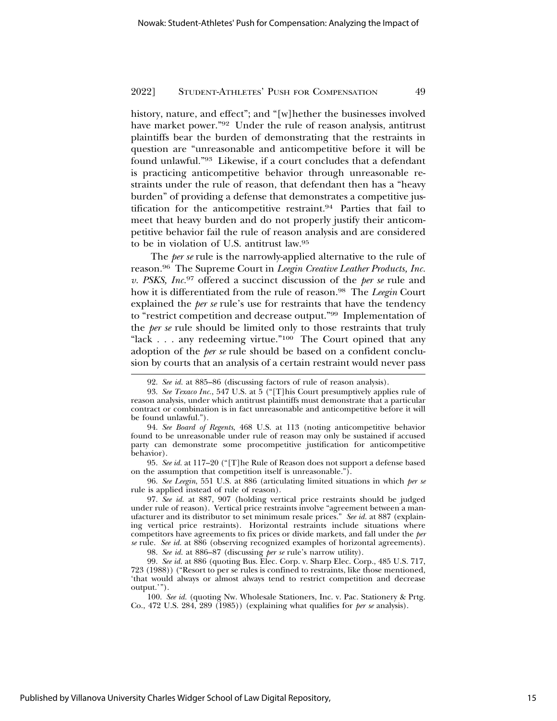history, nature, and effect"; and "[w]hether the businesses involved have market power."92 Under the rule of reason analysis, antitrust plaintiffs bear the burden of demonstrating that the restraints in question are "unreasonable and anticompetitive before it will be found unlawful."93 Likewise, if a court concludes that a defendant is practicing anticompetitive behavior through unreasonable restraints under the rule of reason, that defendant then has a "heavy burden" of providing a defense that demonstrates a competitive justification for the anticompetitive restraint.94 Parties that fail to meet that heavy burden and do not properly justify their anticompetitive behavior fail the rule of reason analysis and are considered to be in violation of U.S. antitrust law.95

The *per se* rule is the narrowly-applied alternative to the rule of reason.96 The Supreme Court in *Leegin Creative Leather Products, Inc. v. PSKS, Inc.*97 offered a succinct discussion of the *per se* rule and how it is differentiated from the rule of reason.98 The *Leegin* Court explained the *per se* rule's use for restraints that have the tendency to "restrict competition and decrease output."99 Implementation of the *per se* rule should be limited only to those restraints that truly "lack . . . any redeeming virtue."100 The Court opined that any adoption of the *per se* rule should be based on a confident conclusion by courts that an analysis of a certain restraint would never pass

95. *See id.* at 117–20 ("[T]he Rule of Reason does not support a defense based on the assumption that competition itself is unreasonable.").

96. *See Leegin*, 551 U.S. at 886 (articulating limited situations in which *per se* rule is applied instead of rule of reason).

98. *See id.* at 886–87 (discussing *per se* rule's narrow utility).

<sup>92.</sup> *See id.* at 885–86 (discussing factors of rule of reason analysis).

<sup>93.</sup> *See Texaco Inc.*, 547 U.S. at 5 ("[T]his Court presumptively applies rule of reason analysis, under which antitrust plaintiffs must demonstrate that a particular contract or combination is in fact unreasonable and anticompetitive before it will be found unlawful.").

<sup>94.</sup> *See Board of Regents*, 468 U.S. at 113 (noting anticompetitive behavior found to be unreasonable under rule of reason may only be sustained if accused party can demonstrate some procompetitive justification for anticompetitive behavior).

<sup>97.</sup> *See id.* at 887, 907 (holding vertical price restraints should be judged under rule of reason). Vertical price restraints involve "agreement between a manufacturer and its distributor to set minimum resale prices." *See id.* at 887 (explaining vertical price restraints). Horizontal restraints include situations where competitors have agreements to fix prices or divide markets, and fall under the *per se* rule. *See id.* at 886 (observing recognized examples of horizontal agreements).

<sup>99.</sup> *See id.* at 886 (quoting Bus. Elec. Corp. v. Sharp Elec. Corp., 485 U.S. 717, 723 (1988)) ("Resort to per se rules is confined to restraints, like those mentioned, 'that would always or almost always tend to restrict competition and decrease output.'").

<sup>100.</sup> *See id.* (quoting Nw. Wholesale Stationers, Inc. v. Pac. Stationery & Prtg. Co., 472 U.S. 284, 289 (1985)) (explaining what qualifies for *per se* analysis).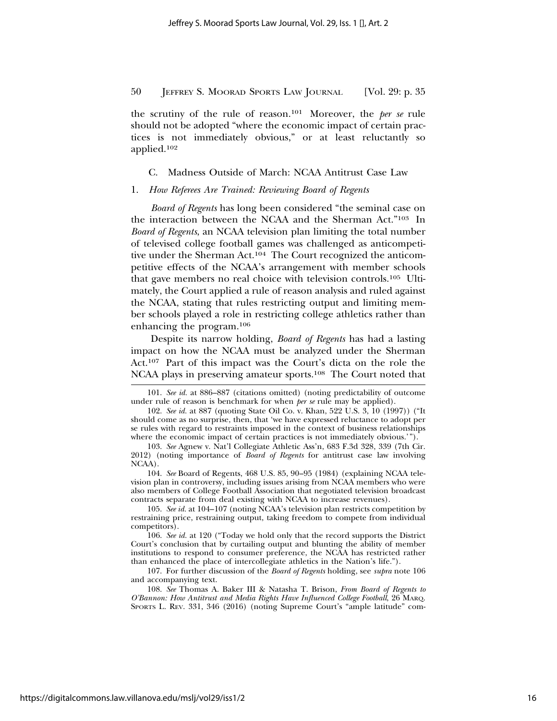the scrutiny of the rule of reason.101 Moreover, the *per se* rule should not be adopted "where the economic impact of certain practices is not immediately obvious," or at least reluctantly so applied.102

C. Madness Outside of March: NCAA Antitrust Case Law

## 1. *How Referees Are Trained: Reviewing Board of Regents*

*Board of Regents* has long been considered "the seminal case on the interaction between the NCAA and the Sherman Act."103 In *Board of Regents*, an NCAA television plan limiting the total number of televised college football games was challenged as anticompetitive under the Sherman Act.104 The Court recognized the anticompetitive effects of the NCAA's arrangement with member schools that gave members no real choice with television controls.105 Ultimately, the Court applied a rule of reason analysis and ruled against the NCAA, stating that rules restricting output and limiting member schools played a role in restricting college athletics rather than enhancing the program.106

Despite its narrow holding, *Board of Regents* has had a lasting impact on how the NCAA must be analyzed under the Sherman Act.107 Part of this impact was the Court's dicta on the role the NCAA plays in preserving amateur sports.108 The Court noted that

104. *See* Board of Regents, 468 U.S. 85, 90–95 (1984) (explaining NCAA television plan in controversy, including issues arising from NCAA members who were also members of College Football Association that negotiated television broadcast contracts separate from deal existing with NCAA to increase revenues).

105. *See id.* at 104–107 (noting NCAA's television plan restricts competition by restraining price, restraining output, taking freedom to compete from individual competitors).

106. *See id.* at 120 ("Today we hold only that the record supports the District Court's conclusion that by curtailing output and blunting the ability of member institutions to respond to consumer preference, the NCAA has restricted rather than enhanced the place of intercollegiate athletics in the Nation's life.").

107. For further discussion of the *Board of Regents* holding, see *supra* note 106 and accompanying text.

108. *See* Thomas A. Baker III & Natasha T. Brison, *From Board of Regents to O'Bannon: How Antitrust and Media Rights Have Influenced College Football*, 26 MARQ. SPORTS L. REV. 331, 346 (2016) (noting Supreme Court's "ample latitude" com-

<sup>101.</sup> *See id.* at 886–887 (citations omitted) (noting predictability of outcome under rule of reason is benchmark for when *per se* rule may be applied).

<sup>102.</sup> *See id.* at 887 (quoting State Oil Co. v. Khan, 522 U.S. 3, 10 (1997)) ("It should come as no surprise, then, that 'we have expressed reluctance to adopt per se rules with regard to restraints imposed in the context of business relationships where the economic impact of certain practices is not immediately obvious.'").

<sup>103.</sup> *See* Agnew v. Nat'l Collegiate Athletic Ass'n, 683 F.3d 328, 339 (7th Cir. 2012) (noting importance of *Board of Regents* for antitrust case law involving NCAA).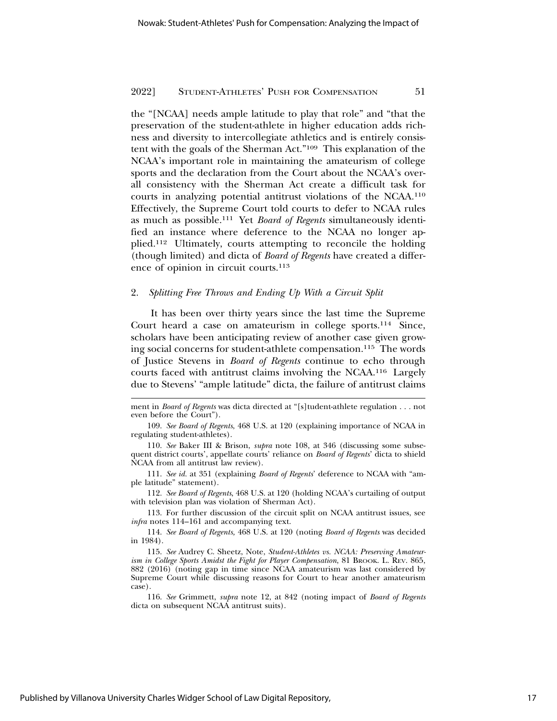the "[NCAA] needs ample latitude to play that role" and "that the preservation of the student-athlete in higher education adds richness and diversity to intercollegiate athletics and is entirely consistent with the goals of the Sherman Act."109 This explanation of the NCAA's important role in maintaining the amateurism of college sports and the declaration from the Court about the NCAA's overall consistency with the Sherman Act create a difficult task for courts in analyzing potential antitrust violations of the NCAA.110 Effectively, the Supreme Court told courts to defer to NCAA rules as much as possible.111 Yet *Board of Regents* simultaneously identified an instance where deference to the NCAA no longer applied.112 Ultimately, courts attempting to reconcile the holding (though limited) and dicta of *Board of Regents* have created a difference of opinion in circuit courts.113

#### 2. *Splitting Free Throws and Ending Up With a Circuit Split*

It has been over thirty years since the last time the Supreme Court heard a case on amateurism in college sports.114 Since, scholars have been anticipating review of another case given growing social concerns for student-athlete compensation.115 The words of Justice Stevens in *Board of Regents* continue to echo through courts faced with antitrust claims involving the NCAA.116 Largely due to Stevens' "ample latitude" dicta, the failure of antitrust claims

112. *See Board of Regents*, 468 U.S. at 120 (holding NCAA's curtailing of output with television plan was violation of Sherman Act).

ment in *Board of Regents* was dicta directed at "[s]tudent-athlete regulation . . . not even before the Court").

<sup>109.</sup> *See Board of Regents*, 468 U.S. at 120 (explaining importance of NCAA in regulating student-athletes).

<sup>110.</sup> *See* Baker III & Brison, *supra* note 108, at 346 (discussing some subsequent district courts', appellate courts' reliance on *Board of Regents*' dicta to shield NCAA from all antitrust law review).

<sup>111.</sup> *See id.* at 351 (explaining *Board of Regents*' deference to NCAA with "ample latitude" statement).

<sup>113.</sup> For further discussion of the circuit split on NCAA antitrust issues, see *infra* notes 114–161 and accompanying text.

<sup>114.</sup> *See Board of Regents,* 468 U.S. at 120 (noting *Board of Regents* was decided in 1984).

<sup>115.</sup> *See* Audrey C. Sheetz, Note, *Student-Athletes vs. NCAA: Preserving Amateurism in College Sports Amidst the Fight for Player Compensation*, 81 BROOK. L. REV. 865, 882 (2016) (noting gap in time since NCAA amateurism was last considered by Supreme Court while discussing reasons for Court to hear another amateurism case).

<sup>116.</sup> *See* Grimmett, *supra* note 12, at 842 (noting impact of *Board of Regents* dicta on subsequent NCAA antitrust suits).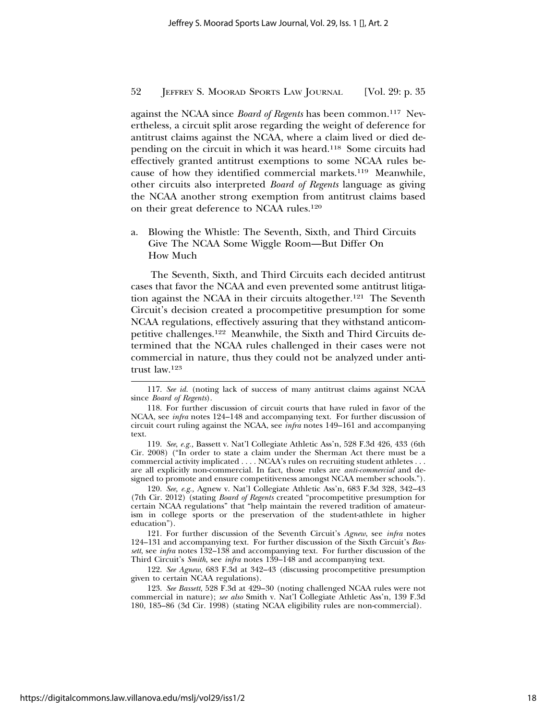against the NCAA since *Board of Regents* has been common.117 Nevertheless, a circuit split arose regarding the weight of deference for antitrust claims against the NCAA, where a claim lived or died depending on the circuit in which it was heard.118 Some circuits had effectively granted antitrust exemptions to some NCAA rules because of how they identified commercial markets.119 Meanwhile, other circuits also interpreted *Board of Regents* language as giving the NCAA another strong exemption from antitrust claims based on their great deference to NCAA rules.120

a. Blowing the Whistle: The Seventh, Sixth, and Third Circuits Give The NCAA Some Wiggle Room—But Differ On How Much

The Seventh, Sixth, and Third Circuits each decided antitrust cases that favor the NCAA and even prevented some antitrust litigation against the NCAA in their circuits altogether.121 The Seventh Circuit's decision created a procompetitive presumption for some NCAA regulations, effectively assuring that they withstand anticompetitive challenges.122 Meanwhile, the Sixth and Third Circuits determined that the NCAA rules challenged in their cases were not commercial in nature, thus they could not be analyzed under antitrust law.123

119. *See*, *e.g.,* Bassett v. Nat'l Collegiate Athletic Ass'n, 528 F.3d 426, 433 (6th Cir. 2008) ("In order to state a claim under the Sherman Act there must be a commercial activity implicated . . . . NCAA's rules on recruiting student athletes . . . are all explicitly non-commercial. In fact, those rules are *anti-commercial* and designed to promote and ensure competitiveness amongst NCAA member schools.").

120. *See, e.g.,* Agnew v. Nat'l Collegiate Athletic Ass'n, 683 F.3d 328, 342–43 (7th Cir. 2012) (stating *Board of Regents* created "procompetitive presumption for certain NCAA regulations" that "help maintain the revered tradition of amateurism in college sports or the preservation of the student-athlete in higher education").

121. For further discussion of the Seventh Circuit's *Agnew*, see *infra* notes 124–131 and accompanying text. For further discussion of the Sixth Circuit's *Bassett*, see *infra* notes 132–138 and accompanying text. For further discussion of the Third Circuit's *Smith*, see *infra* notes 139–148 and accompanying text.

122. *See Agnew*, 683 F.3d at 342–43 (discussing procompetitive presumption given to certain NCAA regulations).

123. *See Bassett*, 528 F.3d at 429–30 (noting challenged NCAA rules were not commercial in nature); *see also* Smith v. Nat'l Collegiate Athletic Ass'n, 139 F.3d 180, 185–86 (3d Cir. 1998) (stating NCAA eligibility rules are non-commercial).

<sup>117.</sup> *See id.* (noting lack of success of many antitrust claims against NCAA since *Board of Regents*).

<sup>118.</sup> For further discussion of circuit courts that have ruled in favor of the NCAA, see *infra* notes 124–148 and accompanying text. For further discussion of circuit court ruling against the NCAA, see *infra* notes 149–161 and accompanying text.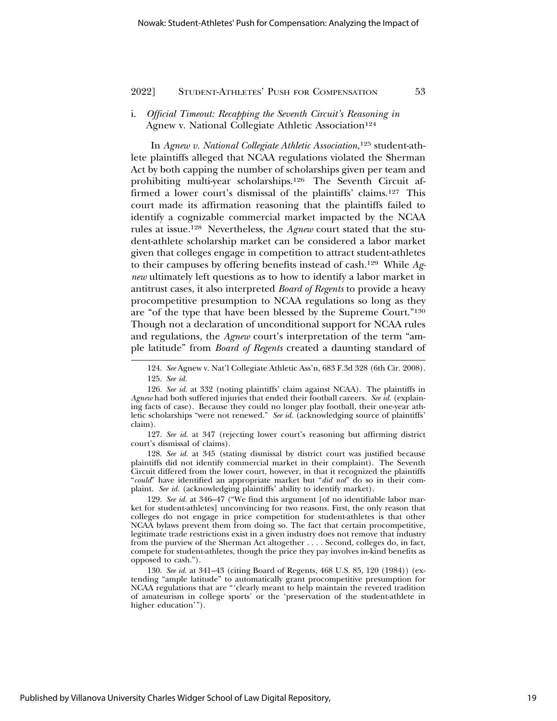## i. *Official Timeout: Recapping the Seventh Circuit's Reasoning in* Agnew v. National Collegiate Athletic Association<sup>124</sup>

In *Agnew v. National Collegiate Athletic Association*, 125 student-athlete plaintiffs alleged that NCAA regulations violated the Sherman Act by both capping the number of scholarships given per team and prohibiting multi-year scholarships.126 The Seventh Circuit affirmed a lower court's dismissal of the plaintiffs' claims.127 This court made its affirmation reasoning that the plaintiffs failed to identify a cognizable commercial market impacted by the NCAA rules at issue.128 Nevertheless, the *Agnew* court stated that the student-athlete scholarship market can be considered a labor market given that colleges engage in competition to attract student-athletes to their campuses by offering benefits instead of cash.129 While *Agnew* ultimately left questions as to how to identify a labor market in antitrust cases, it also interpreted *Board of Regents* to provide a heavy procompetitive presumption to NCAA regulations so long as they are "of the type that have been blessed by the Supreme Court."130 Though not a declaration of unconditional support for NCAA rules and regulations, the *Agnew* court's interpretation of the term "ample latitude" from *Board of Regents* created a daunting standard of

127. *See id.* at 347 (rejecting lower court's reasoning but affirming district court's dismissal of claims).

128. *See id.* at 345 (stating dismissal by district court was justified because plaintiffs did not identify commercial market in their complaint). The Seventh Circuit differed from the lower court, however, in that it recognized the plaintiffs "*could*" have identified an appropriate market but "*did not*" do so in their complaint. *See id.* (acknowledging plaintiffs' ability to identify market).

129. *See id.* at 346–47 ("We find this argument [of no identifiable labor market for student-athletes] unconvincing for two reasons. First, the only reason that colleges do not engage in price competition for student-athletes is that other NCAA bylaws prevent them from doing so. The fact that certain procompetitive, legitimate trade restrictions exist in a given industry does not remove that industry from the purview of the Sherman Act altogether . . . . Second, colleges do, in fact, compete for student-athletes, though the price they pay involves in-kind benefits as opposed to cash.").

130. *See id.* at 341–43 (citing Board of Regents, 468 U.S. 85, 120 (1984)) (extending "ample latitude" to automatically grant procompetitive presumption for NCAA regulations that are "'clearly meant to help maintain the revered tradition of amateurism in college sports' or the 'preservation of the student-athlete in higher education'").

<sup>124.</sup> *See* Agnew v. Nat'l Collegiate Athletic Ass'n, 683 F.3d 328 (6th Cir. 2008).

<sup>125.</sup> *See id.*

<sup>126.</sup> *See id.* at 332 (noting plaintiffs' claim against NCAA). The plaintiffs in *Agnew* had both suffered injuries that ended their football careers. *See id*. (explaining facts of case). Because they could no longer play football, their one-year athletic scholarships "were not renewed." *See id.* (acknowledging source of plaintiffs' claim).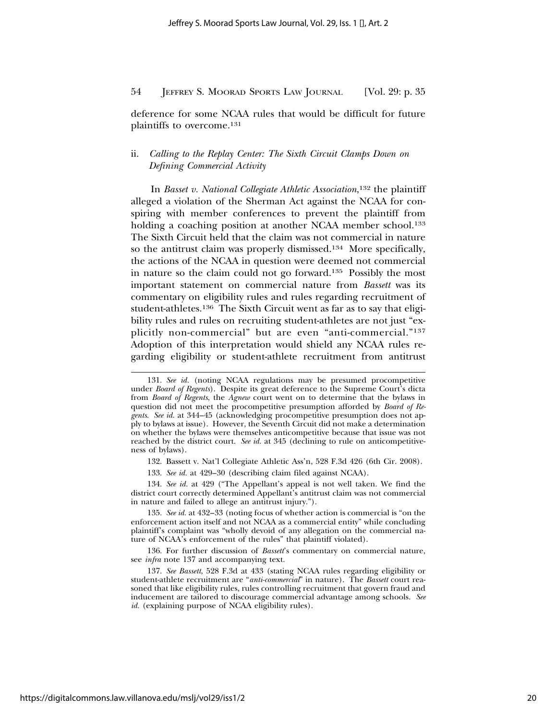deference for some NCAA rules that would be difficult for future plaintiffs to overcome.131

## ii. *Calling to the Replay Center: The Sixth Circuit Clamps Down on Defining Commercial Activity*

In *Basset v. National Collegiate Athletic Association*, 132 the plaintiff alleged a violation of the Sherman Act against the NCAA for conspiring with member conferences to prevent the plaintiff from holding a coaching position at another NCAA member school.<sup>133</sup> The Sixth Circuit held that the claim was not commercial in nature so the antitrust claim was properly dismissed.134 More specifically, the actions of the NCAA in question were deemed not commercial in nature so the claim could not go forward.135 Possibly the most important statement on commercial nature from *Bassett* was its commentary on eligibility rules and rules regarding recruitment of student-athletes.136 The Sixth Circuit went as far as to say that eligibility rules and rules on recruiting student-athletes are not just "explicitly non-commercial" but are even "anti-commercial."137 Adoption of this interpretation would shield any NCAA rules regarding eligibility or student-athlete recruitment from antitrust

132. Bassett v. Nat'l Collegiate Athletic Ass'n, 528 F.3d 426 (6th Cir. 2008).

133. *See id.* at 429–30 (describing claim filed against NCAA).

134. *See id.* at 429 ("The Appellant's appeal is not well taken. We find the district court correctly determined Appellant's antitrust claim was not commercial in nature and failed to allege an antitrust injury.").

135. *See id.* at 432–33 (noting focus of whether action is commercial is "on the enforcement action itself and not NCAA as a commercial entity" while concluding plaintiff's complaint was "wholly devoid of any allegation on the commercial nature of NCAA's enforcement of the rules" that plaintiff violated).

136. For further discussion of *Bassett*'s commentary on commercial nature, see *infra* note 137 and accompanying text.

<sup>131.</sup> *See id.* (noting NCAA regulations may be presumed procompetitive under *Board of Regents*). Despite its great deference to the Supreme Court's dicta from *Board of Regents*, the *Agnew* court went on to determine that the bylaws in question did not meet the procompetitive presumption afforded by *Board of Regents*. *See id.* at 344–45 (acknowledging procompetitive presumption does not apply to bylaws at issue). However, the Seventh Circuit did not make a determination on whether the bylaws were themselves anticompetitive because that issue was not reached by the district court. *See id.* at 345 (declining to rule on anticompetitiveness of bylaws).

<sup>137.</sup> *See Bassett*, 528 F.3d at 433 (stating NCAA rules regarding eligibility or student-athlete recruitment are "*anti-commercial*" in nature). The *Bassett* court reasoned that like eligibility rules, rules controlling recruitment that govern fraud and inducement are tailored to discourage commercial advantage among schools. *See id.* (explaining purpose of NCAA eligibility rules).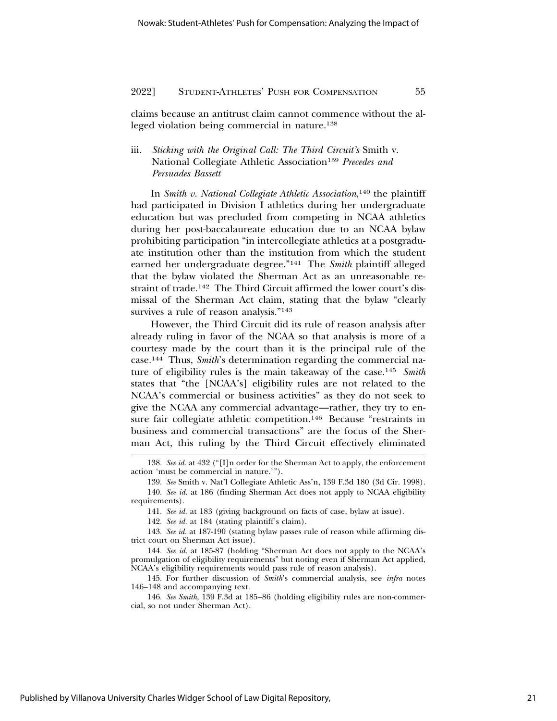claims because an antitrust claim cannot commence without the alleged violation being commercial in nature.138

## iii. *Sticking with the Original Call: The Third Circuit's* Smith v. National Collegiate Athletic Association139 *Precedes and Persuades Bassett*

In *Smith v. National Collegiate Athletic Association*, 140 the plaintiff had participated in Division I athletics during her undergraduate education but was precluded from competing in NCAA athletics during her post-baccalaureate education due to an NCAA bylaw prohibiting participation "in intercollegiate athletics at a postgraduate institution other than the institution from which the student earned her undergraduate degree."141 The *Smith* plaintiff alleged that the bylaw violated the Sherman Act as an unreasonable restraint of trade.142 The Third Circuit affirmed the lower court's dismissal of the Sherman Act claim, stating that the bylaw "clearly survives a rule of reason analysis."<sup>143</sup>

However, the Third Circuit did its rule of reason analysis after already ruling in favor of the NCAA so that analysis is more of a courtesy made by the court than it is the principal rule of the case.144 Thus, *Smith*'s determination regarding the commercial nature of eligibility rules is the main takeaway of the case.145 *Smith* states that "the [NCAA's] eligibility rules are not related to the NCAA's commercial or business activities" as they do not seek to give the NCAA any commercial advantage—rather, they try to ensure fair collegiate athletic competition.<sup>146</sup> Because "restraints in business and commercial transactions" are the focus of the Sherman Act, this ruling by the Third Circuit effectively eliminated

<sup>138.</sup> *See id.* at 432 ("[I]n order for the Sherman Act to apply, the enforcement action 'must be commercial in nature.'").

<sup>139.</sup> *See* Smith v. Nat'l Collegiate Athletic Ass'n, 139 F.3d 180 (3d Cir. 1998).

<sup>140.</sup> *See id.* at 186 (finding Sherman Act does not apply to NCAA eligibility requirements).

<sup>141.</sup> *See id.* at 183 (giving background on facts of case, bylaw at issue).

<sup>142.</sup> *See id.* at 184 (stating plaintiff's claim).

<sup>143.</sup> *See id.* at 187-190 (stating bylaw passes rule of reason while affirming district court on Sherman Act issue).

<sup>144.</sup> *See id.* at 185-87 (holding "Sherman Act does not apply to the NCAA's promulgation of eligibility requirements" but noting even if Sherman Act applied, NCAA's eligibility requirements would pass rule of reason analysis).

<sup>145.</sup> For further discussion of *Smith*'s commercial analysis, see *infra* notes 146–148 and accompanying text.

<sup>146.</sup> *See Smith*, 139 F.3d at 185–86 (holding eligibility rules are non-commercial, so not under Sherman Act).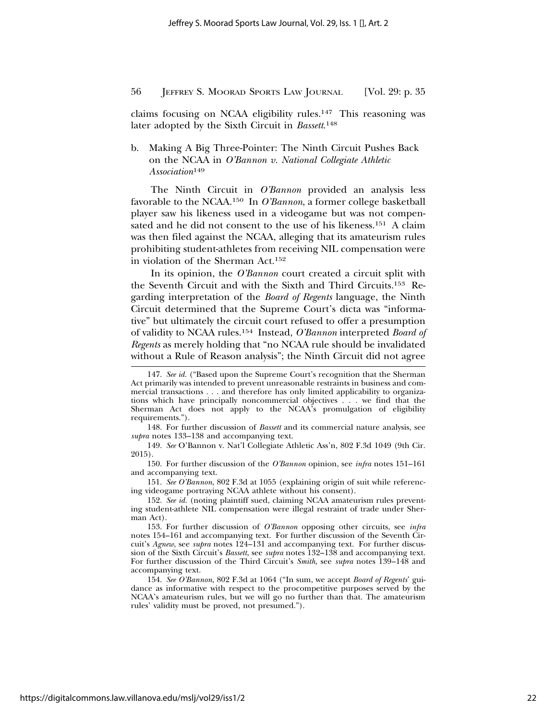claims focusing on NCAA eligibility rules.147 This reasoning was later adopted by the Sixth Circuit in *Bassett*. 148

## b. Making A Big Three-Pointer: The Ninth Circuit Pushes Back on the NCAA in *O'Bannon v. National Collegiate Athletic Association*<sup>149</sup>

The Ninth Circuit in *O'Bannon* provided an analysis less favorable to the NCAA.150 In *O'Bannon*, a former college basketball player saw his likeness used in a videogame but was not compensated and he did not consent to the use of his likeness.<sup>151</sup> A claim was then filed against the NCAA, alleging that its amateurism rules prohibiting student-athletes from receiving NIL compensation were in violation of the Sherman Act.152

In its opinion, the *O'Bannon* court created a circuit split with the Seventh Circuit and with the Sixth and Third Circuits.153 Regarding interpretation of the *Board of Regents* language, the Ninth Circuit determined that the Supreme Court's dicta was "informative" but ultimately the circuit court refused to offer a presumption of validity to NCAA rules.154 Instead, *O'Bannon* interpreted *Board of Regents* as merely holding that "no NCAA rule should be invalidated without a Rule of Reason analysis"; the Ninth Circuit did not agree

148. For further discussion of *Bassett* and its commercial nature analysis, see *supra* notes 133–138 and accompanying text.

149. *See* O'Bannon v. Nat'l Collegiate Athletic Ass'n, 802 F.3d 1049 (9th Cir. 2015).

150. For further discussion of the *O'Bannon* opinion, see *infra* notes 151–161 and accompanying text.

151. *See O'Bannon*, 802 F.3d at 1055 (explaining origin of suit while referencing videogame portraying NCAA athlete without his consent).

152. *See id.* (noting plaintiff sued, claiming NCAA amateurism rules preventing student-athlete NIL compensation were illegal restraint of trade under Sherman Act).

153. For further discussion of *O'Bannon* opposing other circuits, see *infra* notes 154–161 and accompanying text. For further discussion of the Seventh Circuit's *Agnew*, see *supra* notes 124–131 and accompanying text. For further discussion of the Sixth Circuit's *Bassett*, see *supra* notes 132–138 and accompanying text. For further discussion of the Third Circuit's *Smith*, see *supra* notes 139–148 and accompanying text.

154. *See O'Bannon*, 802 F.3d at 1064 ("In sum, we accept *Board of Regents*' guidance as informative with respect to the procompetitive purposes served by the NCAA's amateurism rules, but we will go no further than that. The amateurism rules' validity must be proved, not presumed.").

<sup>147.</sup> *See id.* ("Based upon the Supreme Court's recognition that the Sherman Act primarily was intended to prevent unreasonable restraints in business and commercial transactions . . . and therefore has only limited applicability to organizations which have principally noncommercial objectives . . . we find that the Sherman Act does not apply to the NCAA's promulgation of eligibility requirements.").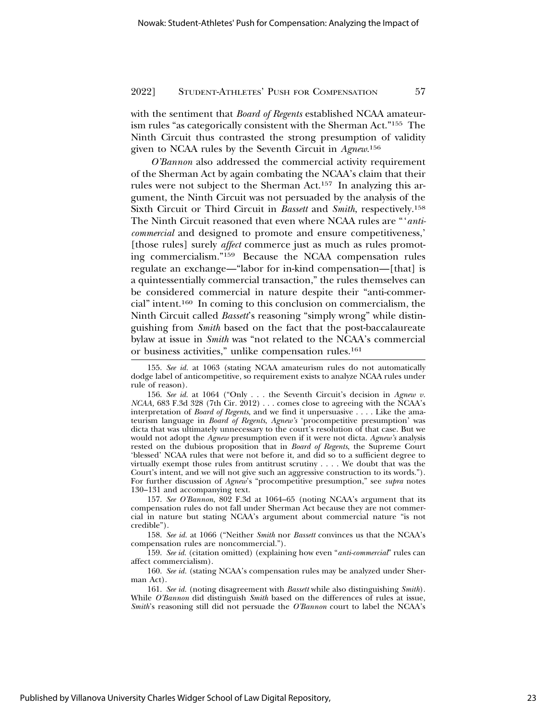with the sentiment that *Board of Regents* established NCAA amateurism rules "as categorically consistent with the Sherman Act."155 The Ninth Circuit thus contrasted the strong presumption of validity given to NCAA rules by the Seventh Circuit in *Agnew*. 156

*O'Bannon* also addressed the commercial activity requirement of the Sherman Act by again combating the NCAA's claim that their rules were not subject to the Sherman Act.157 In analyzing this argument, the Ninth Circuit was not persuaded by the analysis of the Sixth Circuit or Third Circuit in *Bassett* and *Smith*, respectively.158 The Ninth Circuit reasoned that even where NCAA rules are "'*anticommercial* and designed to promote and ensure competitiveness,' [those rules] surely *affect* commerce just as much as rules promoting commercialism."159 Because the NCAA compensation rules regulate an exchange—"labor for in-kind compensation—[that] is a quintessentially commercial transaction," the rules themselves can be considered commercial in nature despite their "anti-commercial" intent.160 In coming to this conclusion on commercialism, the Ninth Circuit called *Bassett*'s reasoning "simply wrong" while distinguishing from *Smith* based on the fact that the post-baccalaureate bylaw at issue in *Smith* was "not related to the NCAA's commercial or business activities," unlike compensation rules.161

156. *See id.* at 1064 ("Only . . . the Seventh Circuit's decision in *Agnew v. NCAA,* 683 F.3d 328 (7th Cir. 2012) . . . comes close to agreeing with the NCAA's interpretation of *Board of Regents*, and we find it unpersuasive . . . . Like the amateurism language in *Board of Regents*, *Agnew's* 'procompetitive presumption' was dicta that was ultimately unnecessary to the court's resolution of that case. But we would not adopt the *Agnew* presumption even if it were not dicta. *Agnew's* analysis rested on the dubious proposition that in *Board of Regents*, the Supreme Court 'blessed' NCAA rules that were not before it, and did so to a sufficient degree to virtually exempt those rules from antitrust scrutiny . . . . We doubt that was the Court's intent, and we will not give such an aggressive construction to its words."). For further discussion of *Agnew*'s "procompetitive presumption," see *supra* notes 130–131 and accompanying text.

157. *See O'Bannon*, 802 F.3d at 1064–65 (noting NCAA's argument that its compensation rules do not fall under Sherman Act because they are not commercial in nature but stating NCAA's argument about commercial nature "is not credible").

158. *See id.* at 1066 ("Neither *Smith* nor *Bassett* convinces us that the NCAA's compensation rules are noncommercial.").

159. *See id.* (citation omitted) (explaining how even "*anti-commercial*" rules can affect commercialism).

160. *See id.* (stating NCAA's compensation rules may be analyzed under Sherman Act).

161. *See id.* (noting disagreement with *Bassett* while also distinguishing *Smith*). While *O'Bannon* did distinguish *Smith* based on the differences of rules at issue, *Smith*'s reasoning still did not persuade the *O'Bannon* court to label the NCAA's

Published by Villanova University Charles Widger School of Law Digital Repository,

<sup>155.</sup> *See id.* at 1063 (stating NCAA amateurism rules do not automatically dodge label of anticompetitive, so requirement exists to analyze NCAA rules under rule of reason).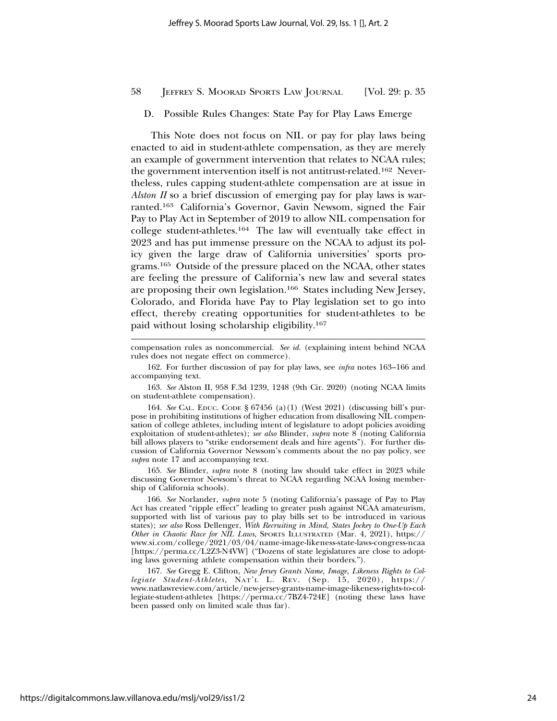#### D. Possible Rules Changes: State Pay for Play Laws Emerge

This Note does not focus on NIL or pay for play laws being enacted to aid in student-athlete compensation, as they are merely an example of government intervention that relates to NCAA rules; the government intervention itself is not antitrust-related.162 Nevertheless, rules capping student-athlete compensation are at issue in *Alston II* so a brief discussion of emerging pay for play laws is warranted.163 California's Governor, Gavin Newsom, signed the Fair Pay to Play Act in September of 2019 to allow NIL compensation for college student-athletes.164 The law will eventually take effect in 2023 and has put immense pressure on the NCAA to adjust its policy given the large draw of California universities' sports programs.165 Outside of the pressure placed on the NCAA, other states are feeling the pressure of California's new law and several states are proposing their own legislation.166 States including New Jersey, Colorado, and Florida have Pay to Play legislation set to go into effect, thereby creating opportunities for student-athletes to be paid without losing scholarship eligibility.167

compensation rules as noncommercial. *See id.* (explaining intent behind NCAA rules does not negate effect on commerce).

162. For further discussion of pay for play laws, see *infra* notes 163–166 and accompanying text.

163. *See* Alston II, 958 F.3d 1239, 1248 (9th Cir. 2020) (noting NCAA limits on student-athlete compensation).

164. *See* CAL. EDUC. CODE § 67456 (a)(1) (West 2021) (discussing bill's purpose in prohibiting institutions of higher education from disallowing NIL compensation of college athletes, including intent of legislature to adopt policies avoiding exploitation of student-athletes); *see also* Blinder, *supra* note 8 (noting California bill allows players to "strike endorsement deals and hire agents"). For further discussion of California Governor Newsom's comments about the no pay policy, see *supra* note 17 and accompanying text.

165. *See* Blinder, *supra* note 8 (noting law should take effect in 2023 while discussing Governor Newsom's threat to NCAA regarding NCAA losing membership of California schools).

166. *See* Norlander, *supra* note 5 (noting California's passage of Pay to Play Act has created "ripple effect" leading to greater push against NCAA amateurism, supported with list of various pay to play bills set to be introduced in various states); *see also* Ross Dellenger, *With Recruiting in Mind, States Jockey to One-Up Each Other in Chaotic Race for NIL Laws*, SPORTS ILLUSTRATED (Mar. 4, 2021), https:// www.si.com/college/2021/03/04/name-image-likeness-state-laws-congress-ncaa [https://perma.cc/L2Z3-N4VW] ("Dozens of state legislatures are close to adopting laws governing athlete compensation within their borders.").

167. *See* Gregg E. Clifton, *New Jersey Grants Name, Image, Likeness Rights to Collegiate Student-Athletes*, NAT'L L. REV. (Sep. 15, 2020), https:// www.natlawreview.com/article/new-jersey-grants-name-image-likeness-rights-to-collegiate-student-athletes [https://perma.cc/7BZ4-724E] (noting these laws have been passed only on limited scale thus far).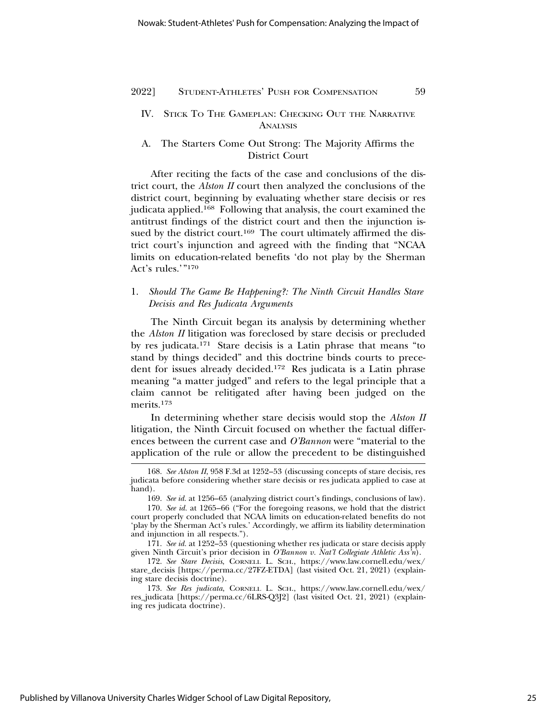## IV. STICK TO THE GAMEPLAN: CHECKING OUT THE NARRATIVE **ANALYSIS**

## A. The Starters Come Out Strong: The Majority Affirms the District Court

After reciting the facts of the case and conclusions of the district court, the *Alston II* court then analyzed the conclusions of the district court, beginning by evaluating whether stare decisis or res judicata applied.168 Following that analysis, the court examined the antitrust findings of the district court and then the injunction issued by the district court.<sup>169</sup> The court ultimately affirmed the district court's injunction and agreed with the finding that "NCAA limits on education-related benefits 'do not play by the Sherman Act's rules.'"170

## 1. *Should The Game Be Happening?: The Ninth Circuit Handles Stare Decisis and Res Judicata Arguments*

The Ninth Circuit began its analysis by determining whether the *Alston II* litigation was foreclosed by stare decisis or precluded by res judicata.171 Stare decisis is a Latin phrase that means "to stand by things decided" and this doctrine binds courts to precedent for issues already decided.172 Res judicata is a Latin phrase meaning "a matter judged" and refers to the legal principle that a claim cannot be relitigated after having been judged on the merits.173

In determining whether stare decisis would stop the *Alston II* litigation, the Ninth Circuit focused on whether the factual differences between the current case and *O'Bannon* were "material to the application of the rule or allow the precedent to be distinguished

<sup>168.</sup> *See Alston II*, 958 F.3d at 1252–53 (discussing concepts of stare decisis, res judicata before considering whether stare decisis or res judicata applied to case at hand).

<sup>169.</sup> *See id.* at 1256–65 (analyzing district court's findings, conclusions of law).

<sup>170.</sup> *See id.* at 1265–66 ("For the foregoing reasons, we hold that the district court properly concluded that NCAA limits on education-related benefits do not 'play by the Sherman Act's rules.' Accordingly, we affirm its liability determination and injunction in all respects.").

<sup>171.</sup> *See id.* at 1252–53 (questioning whether res judicata or stare decisis apply given Ninth Circuit's prior decision in *O'Bannon v. Nat'l Collegiate Athletic Ass'n*).

<sup>172.</sup> *See Stare Decisis*, CORNELL L. SCH., https://www.law.cornell.edu/wex/ stare\_decisis [https://perma.cc/27FZ-ETDA] (last visited Oct. 21, 2021) (explaining stare decisis doctrine).

<sup>173.</sup> *See Res judicata*, CORNELL L. SCH., https://www.law.cornell.edu/wex/ res\_judicata [https://perma.cc/6LRS-Q3J2] (last visited Oct. 21, 2021) (explaining res judicata doctrine).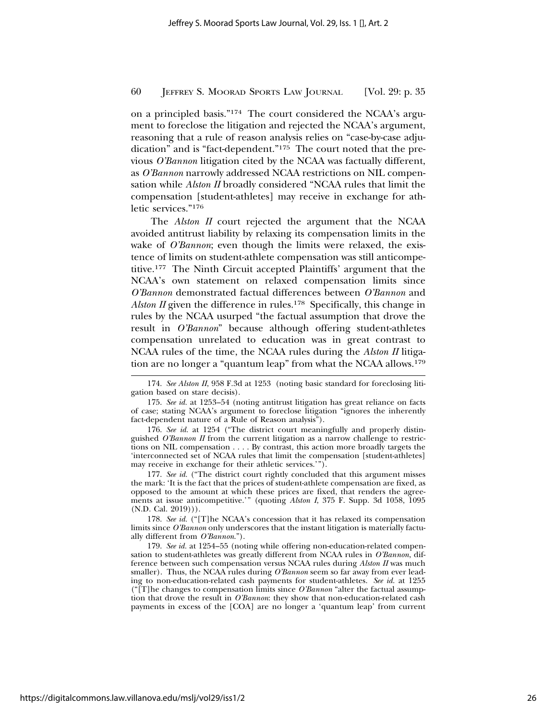on a principled basis."174 The court considered the NCAA's argument to foreclose the litigation and rejected the NCAA's argument, reasoning that a rule of reason analysis relies on "case-by-case adjudication" and is "fact-dependent."175 The court noted that the previous *O'Bannon* litigation cited by the NCAA was factually different, as *O'Bannon* narrowly addressed NCAA restrictions on NIL compensation while *Alston II* broadly considered "NCAA rules that limit the compensation [student-athletes] may receive in exchange for athletic services."176

The *Alston II* court rejected the argument that the NCAA avoided antitrust liability by relaxing its compensation limits in the wake of *O'Bannon*; even though the limits were relaxed, the existence of limits on student-athlete compensation was still anticompetitive.177 The Ninth Circuit accepted Plaintiffs' argument that the NCAA's own statement on relaxed compensation limits since *O'Bannon* demonstrated factual differences between *O'Bannon* and *Alston II* given the difference in rules.<sup>178</sup> Specifically, this change in rules by the NCAA usurped "the factual assumption that drove the result in *O'Bannon*" because although offering student-athletes compensation unrelated to education was in great contrast to NCAA rules of the time, the NCAA rules during the *Alston II* litigation are no longer a "quantum leap" from what the NCAA allows.179

177. *See id.* ("The district court rightly concluded that this argument misses the mark: 'It is the fact that the prices of student-athlete compensation are fixed, as opposed to the amount at which these prices are fixed, that renders the agreements at issue anticompetitive.'" (quoting *Alston I*, 375 F. Supp. 3d 1058, 1095 (N.D. Cal. 2019))).

178. *See id.* ("[T]he NCAA's concession that it has relaxed its compensation limits since *O'Bannon* only underscores that the instant litigation is materially factually different from *O'Bannon*.").

179. *See id.* at 1254–55 (noting while offering non-education-related compensation to student-athletes was greatly different from NCAA rules in *O'Bannon*, difference between such compensation versus NCAA rules during *Alston II* was much smaller). Thus, the NCAA rules during *O'Bannon* seem so far away from ever leading to non-education-related cash payments for student-athletes. *See id.* at 1255 ("[T]he changes to compensation limits since *O'Bannon* "alter the factual assumption that drove the result in *O'Bannon*: they show that non-education-related cash payments in excess of the [COA] are no longer a 'quantum leap' from current

<sup>174.</sup> *See Alston II*, 958 F.3d at 1253 (noting basic standard for foreclosing litigation based on stare decisis).

<sup>175.</sup> *See id.* at 1253–54 (noting antitrust litigation has great reliance on facts of case; stating NCAA's argument to foreclose litigation "ignores the inherently fact-dependent nature of a Rule of Reason analysis").

<sup>176.</sup> *See id.* at 1254 ("The district court meaningfully and properly distinguished *O'Bannon II* from the current litigation as a narrow challenge to restrictions on NIL compensation . . . . By contrast, this action more broadly targets the 'interconnected set of NCAA rules that limit the compensation [student-athletes] may receive in exchange for their athletic services.'").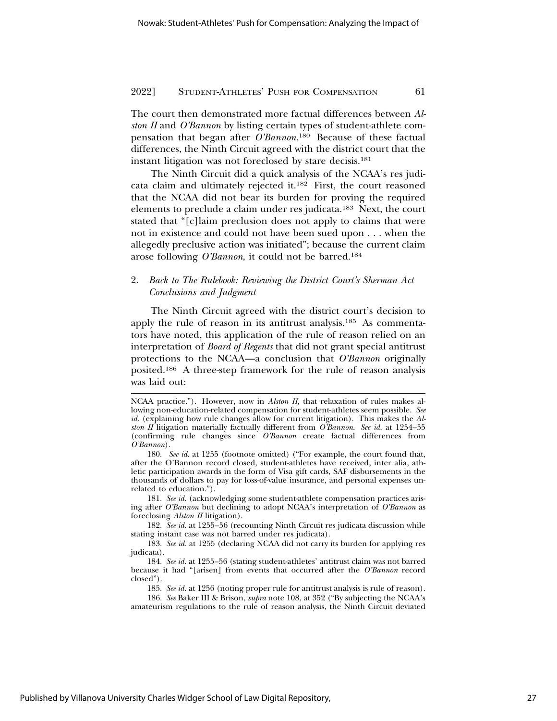The court then demonstrated more factual differences between *Alston II* and *O'Bannon* by listing certain types of student-athlete compensation that began after *O'Bannon*. 180 Because of these factual differences, the Ninth Circuit agreed with the district court that the instant litigation was not foreclosed by stare decisis.181

The Ninth Circuit did a quick analysis of the NCAA's res judicata claim and ultimately rejected it.182 First, the court reasoned that the NCAA did not bear its burden for proving the required elements to preclude a claim under res judicata.183 Next, the court stated that "[c]laim preclusion does not apply to claims that were not in existence and could not have been sued upon . . . when the allegedly preclusive action was initiated"; because the current claim arose following *O'Bannon*, it could not be barred.184

## 2. *Back to The Rulebook: Reviewing the District Court's Sherman Act Conclusions and Judgment*

The Ninth Circuit agreed with the district court's decision to apply the rule of reason in its antitrust analysis.185 As commentators have noted, this application of the rule of reason relied on an interpretation of *Board of Regents* that did not grant special antitrust protections to the NCAA—a conclusion that *O'Bannon* originally posited.186 A three-step framework for the rule of reason analysis was laid out:

181. *See id.* (acknowledging some student-athlete compensation practices arising after *O'Bannon* but declining to adopt NCAA's interpretation of *O'Bannon* as foreclosing *Alston II* litigation).

NCAA practice."). However, now in *Alston II*, that relaxation of rules makes allowing non-education-related compensation for student-athletes seem possible. *See id.* (explaining how rule changes allow for current litigation). This makes the *Alston II* litigation materially factually different from *O'Bannon*. *See id.* at 1254–55 (confirming rule changes since *O'Bannon* create factual differences from *O'Bannon*).

<sup>180.</sup> *See id.* at 1255 (footnote omitted) ("For example, the court found that, after the O'Bannon record closed, student-athletes have received, inter alia, athletic participation awards in the form of Visa gift cards, SAF disbursements in the thousands of dollars to pay for loss-of-value insurance, and personal expenses unrelated to education.").

<sup>182.</sup> *See id.* at 1255–56 (recounting Ninth Circuit res judicata discussion while stating instant case was not barred under res judicata).

<sup>183.</sup> *See id.* at 1255 (declaring NCAA did not carry its burden for applying res judicata).

<sup>184.</sup> *See id.* at 1255–56 (stating student-athletes' antitrust claim was not barred because it had "[arisen] from events that occurred after the *O'Bannon* record closed").

<sup>185.</sup> *See id.* at 1256 (noting proper rule for antitrust analysis is rule of reason).

<sup>186.</sup> *See* Baker III & Brison, *supra* note 108, at 352 ("By subjecting the NCAA's amateurism regulations to the rule of reason analysis, the Ninth Circuit deviated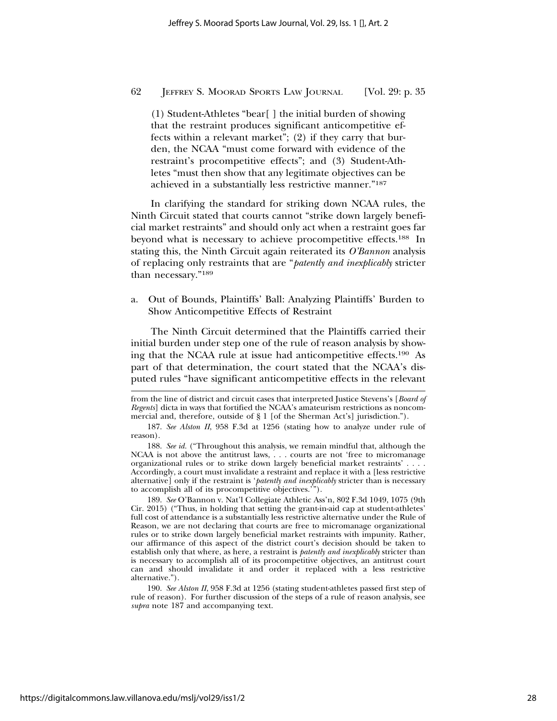(1) Student-Athletes "bear[ ] the initial burden of showing that the restraint produces significant anticompetitive effects within a relevant market"; (2) if they carry that burden, the NCAA "must come forward with evidence of the restraint's procompetitive effects"; and (3) Student-Athletes "must then show that any legitimate objectives can be achieved in a substantially less restrictive manner."187

In clarifying the standard for striking down NCAA rules, the Ninth Circuit stated that courts cannot "strike down largely beneficial market restraints" and should only act when a restraint goes far beyond what is necessary to achieve procompetitive effects.188 In stating this, the Ninth Circuit again reiterated its *O'Bannon* analysis of replacing only restraints that are "*patently and inexplicably* stricter than necessary."189

a. Out of Bounds, Plaintiffs' Ball: Analyzing Plaintiffs' Burden to Show Anticompetitive Effects of Restraint

The Ninth Circuit determined that the Plaintiffs carried their initial burden under step one of the rule of reason analysis by showing that the NCAA rule at issue had anticompetitive effects.190 As part of that determination, the court stated that the NCAA's disputed rules "have significant anticompetitive effects in the relevant

from the line of district and circuit cases that interpreted Justice Stevens's [*Board of Regents*] dicta in ways that fortified the NCAA's amateurism restrictions as noncommercial and, therefore, outside of § 1 [of the Sherman Act's] jurisdiction.").

<sup>187.</sup> *See Alston II*, 958 F.3d at 1256 (stating how to analyze under rule of reason).

<sup>188.</sup> *See id.* ("Throughout this analysis, we remain mindful that, although the NCAA is not above the antitrust laws, . . . courts are not 'free to micromanage organizational rules or to strike down largely beneficial market restraints' . . . . Accordingly, a court must invalidate a restraint and replace it with a [less restrictive alternative] only if the restraint is '*patently and inexplicably* stricter than is necessary to accomplish all of its procompetitive objectives.'").

<sup>189.</sup> *See* O'Bannon v. Nat'l Collegiate Athletic Ass'n, 802 F.3d 1049, 1075 (9th Cir. 2015) ("Thus, in holding that setting the grant-in-aid cap at student-athletes' full cost of attendance is a substantially less restrictive alternative under the Rule of Reason, we are not declaring that courts are free to micromanage organizational rules or to strike down largely beneficial market restraints with impunity. Rather, our affirmance of this aspect of the district court's decision should be taken to establish only that where, as here, a restraint is *patently and inexplicably* stricter than is necessary to accomplish all of its procompetitive objectives, an antitrust court can and should invalidate it and order it replaced with a less restrictive alternative.").

<sup>190.</sup> *See Alston II*, 958 F.3d at 1256 (stating student-athletes passed first step of rule of reason). For further discussion of the steps of a rule of reason analysis, see *supra* note 187 and accompanying text.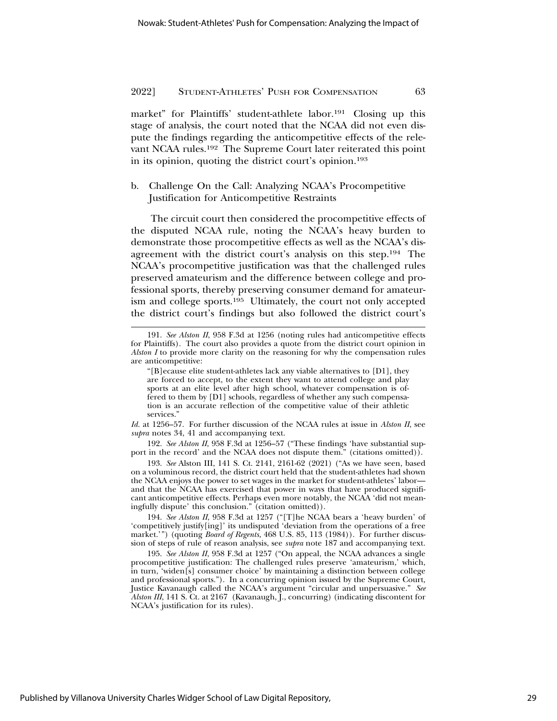market" for Plaintiffs' student-athlete labor.191 Closing up this stage of analysis, the court noted that the NCAA did not even dispute the findings regarding the anticompetitive effects of the relevant NCAA rules.192 The Supreme Court later reiterated this point in its opinion, quoting the district court's opinion.193

b. Challenge On the Call: Analyzing NCAA's Procompetitive Justification for Anticompetitive Restraints

The circuit court then considered the procompetitive effects of the disputed NCAA rule, noting the NCAA's heavy burden to demonstrate those procompetitive effects as well as the NCAA's disagreement with the district court's analysis on this step.194 The NCAA's procompetitive justification was that the challenged rules preserved amateurism and the difference between college and professional sports, thereby preserving consumer demand for amateurism and college sports.195 Ultimately, the court not only accepted the district court's findings but also followed the district court's

*Id.* at 1256–57. For further discussion of the NCAA rules at issue in *Alston II*, see *supra* notes 34, 41 and accompanying text.

192. *See Alston II*, 958 F.3d at 1256–57 ("These findings 'have substantial support in the record' and the NCAA does not dispute them." (citations omitted)).

193. *See* Alston III, 141 S. Ct. 2141, 2161-62 (2021) ("As we have seen, based on a voluminous record, the district court held that the student-athletes had shown the NCAA enjoys the power to set wages in the market for student-athletes' labor and that the NCAA has exercised that power in ways that have produced significant anticompetitive effects. Perhaps even more notably, the NCAA 'did not meaningfully dispute' this conclusion." (citation omitted)).

194. *See Alston II*, 958 F.3d at 1257 ("[T]he NCAA bears a 'heavy burden' of 'competitively justify[ing]' its undisputed 'deviation from the operations of a free market.'") (quoting *Board of Regents*, 468 U.S. 85, 113 (1984)). For further discussion of steps of rule of reason analysis, see *supra* note 187 and accompanying text.

195. *See Alston II*, 958 F.3d at 1257 ("On appeal, the NCAA advances a single procompetitive justification: The challenged rules preserve 'amateurism,' which, in turn, 'widen[s] consumer choice' by maintaining a distinction between college and professional sports."). In a concurring opinion issued by the Supreme Court, Justice Kavanaugh called the NCAA's argument "circular and unpersuasive." *See Alston III*, 141 S. Ct. at 2167 (Kavanaugh, J., concurring) (indicating discontent for NCAA's justification for its rules).

<sup>191.</sup> *See Alston II*, 958 F.3d at 1256 (noting rules had anticompetitive effects for Plaintiffs). The court also provides a quote from the district court opinion in *Alston I* to provide more clarity on the reasoning for why the compensation rules are anticompetitive:

<sup>&</sup>quot;[B]ecause elite student-athletes lack any viable alternatives to [D1], they are forced to accept, to the extent they want to attend college and play sports at an elite level after high school, whatever compensation is offered to them by [D1] schools, regardless of whether any such compensation is an accurate reflection of the competitive value of their athletic services."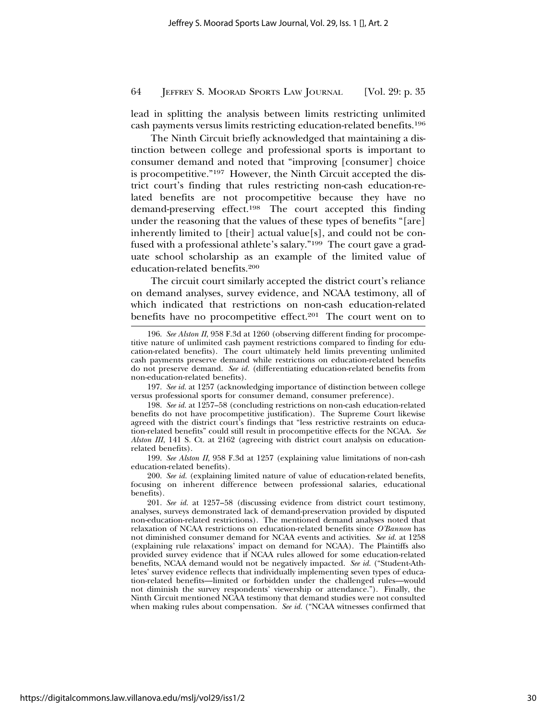lead in splitting the analysis between limits restricting unlimited cash payments versus limits restricting education-related benefits.196

The Ninth Circuit briefly acknowledged that maintaining a distinction between college and professional sports is important to consumer demand and noted that "improving [consumer] choice is procompetitive."197 However, the Ninth Circuit accepted the district court's finding that rules restricting non-cash education-related benefits are not procompetitive because they have no demand-preserving effect.198 The court accepted this finding under the reasoning that the values of these types of benefits "[are] inherently limited to [their] actual value[s], and could not be confused with a professional athlete's salary."199 The court gave a graduate school scholarship as an example of the limited value of education-related benefits.200

The circuit court similarly accepted the district court's reliance on demand analyses, survey evidence, and NCAA testimony, all of which indicated that restrictions on non-cash education-related benefits have no procompetitive effect.<sup>201</sup> The court went on to

199. *See Alston II*, 958 F.3d at 1257 (explaining value limitations of non-cash education-related benefits).

200. *See id.* (explaining limited nature of value of education-related benefits, focusing on inherent difference between professional salaries, educational benefits).

201. *See id.* at 1257–58 (discussing evidence from district court testimony, analyses, surveys demonstrated lack of demand-preservation provided by disputed non-education-related restrictions). The mentioned demand analyses noted that relaxation of NCAA restrictions on education-related benefits since *O'Bannon* has not diminished consumer demand for NCAA events and activities. *See id.* at 1258 (explaining rule relaxations' impact on demand for NCAA). The Plaintiffs also provided survey evidence that if NCAA rules allowed for some education-related benefits, NCAA demand would not be negatively impacted. *See id.* ("Student-Athletes' survey evidence reflects that individually implementing seven types of education-related benefits—limited or forbidden under the challenged rules—would not diminish the survey respondents' viewership or attendance."). Finally, the Ninth Circuit mentioned NCAA testimony that demand studies were not consulted when making rules about compensation. *See id.* ("NCAA witnesses confirmed that

<sup>196.</sup> *See Alston II*, 958 F.3d at 1260 (observing different finding for procompetitive nature of unlimited cash payment restrictions compared to finding for education-related benefits). The court ultimately held limits preventing unlimited cash payments preserve demand while restrictions on education-related benefits do not preserve demand. *See id.* (differentiating education-related benefits from non-education-related benefits).

<sup>197.</sup> *See id.* at 1257 (acknowledging importance of distinction between college versus professional sports for consumer demand, consumer preference).

<sup>198.</sup> *See id.* at 1257–58 (concluding restrictions on non-cash education-related benefits do not have procompetitive justification). The Supreme Court likewise agreed with the district court's findings that "less restrictive restraints on education-related benefits" could still result in procompetitive effects for the NCAA. *See Alston III*, 141 S. Ct. at 2162 (agreeing with district court analysis on educationrelated benefits).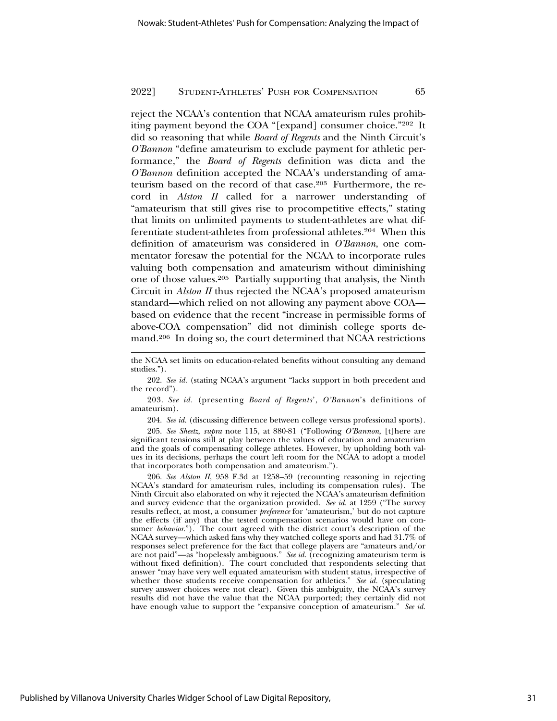reject the NCAA's contention that NCAA amateurism rules prohibiting payment beyond the COA "[expand] consumer choice."202 It did so reasoning that while *Board of Regents* and the Ninth Circuit's *O'Bannon* "define amateurism to exclude payment for athletic performance," the *Board of Regents* definition was dicta and the *O'Bannon* definition accepted the NCAA's understanding of amateurism based on the record of that case.203 Furthermore, the record in *Alston II* called for a narrower understanding of "amateurism that still gives rise to procompetitive effects," stating that limits on unlimited payments to student-athletes are what differentiate student-athletes from professional athletes.204 When this definition of amateurism was considered in *O'Bannon*, one commentator foresaw the potential for the NCAA to incorporate rules valuing both compensation and amateurism without diminishing one of those values.205 Partially supporting that analysis, the Ninth Circuit in *Alston II* thus rejected the NCAA's proposed amateurism standard—which relied on not allowing any payment above COA based on evidence that the recent "increase in permissible forms of above-COA compensation" did not diminish college sports demand.206 In doing so, the court determined that NCAA restrictions

202. *See id.* (stating NCAA's argument "lacks support in both precedent and the record").

203. *See id.* (presenting *Board of Regents*', *O'Bannon*'s definitions of amateurism).

204. *See id.* (discussing difference between college versus professional sports).

205. *See Sheetz*, *supra* note 115, at 880-81 ("Following *O'Bannon*, [t]here are significant tensions still at play between the values of education and amateurism and the goals of compensating college athletes. However, by upholding both values in its decisions, perhaps the court left room for the NCAA to adopt a model that incorporates both compensation and amateurism.").

206. *See Alston II*, 958 F.3d at 1258–59 (recounting reasoning in rejecting NCAA's standard for amateurism rules, including its compensation rules). The Ninth Circuit also elaborated on why it rejected the NCAA's amateurism definition and survey evidence that the organization provided. *See id.* at 1259 ("The survey results reflect, at most, a consumer *preference* for 'amateurism,' but do not capture the effects (if any) that the tested compensation scenarios would have on consumer *behavior*."). The court agreed with the district court's description of the NCAA survey—which asked fans why they watched college sports and had 31.7% of responses select preference for the fact that college players are "amateurs and/or are not paid"—as "hopelessly ambiguous." *See id.* (recognizing amateurism term is without fixed definition). The court concluded that respondents selecting that answer "may have very well equated amateurism with student status, irrespective of whether those students receive compensation for athletics." *See id.* (speculating survey answer choices were not clear). Given this ambiguity, the NCAA's survey results did not have the value that the NCAA purported; they certainly did not have enough value to support the "expansive conception of amateurism." *See id.*

the NCAA set limits on education-related benefits without consulting any demand studies.").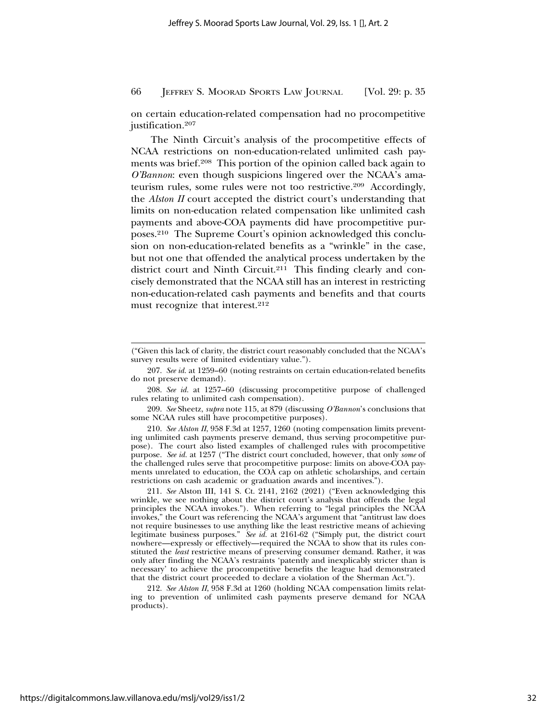on certain education-related compensation had no procompetitive justification.207

The Ninth Circuit's analysis of the procompetitive effects of NCAA restrictions on non-education-related unlimited cash payments was brief.208 This portion of the opinion called back again to *O'Bannon*: even though suspicions lingered over the NCAA's amateurism rules, some rules were not too restrictive.209 Accordingly, the *Alston II* court accepted the district court's understanding that limits on non-education related compensation like unlimited cash payments and above-COA payments did have procompetitive purposes.210 The Supreme Court's opinion acknowledged this conclusion on non-education-related benefits as a "wrinkle" in the case, but not one that offended the analytical process undertaken by the district court and Ninth Circuit.211 This finding clearly and concisely demonstrated that the NCAA still has an interest in restricting non-education-related cash payments and benefits and that courts must recognize that interest.<sup>212</sup>

<sup>(&</sup>quot;Given this lack of clarity, the district court reasonably concluded that the NCAA's survey results were of limited evidentiary value.").

<sup>207.</sup> *See id.* at 1259–60 (noting restraints on certain education-related benefits do not preserve demand).

<sup>208.</sup> *See id.* at 1257–60 (discussing procompetitive purpose of challenged rules relating to unlimited cash compensation).

<sup>209.</sup> *See* Sheetz, *supra* note 115, at 879 (discussing *O'Bannon*'s conclusions that some NCAA rules still have procompetitive purposes).

<sup>210.</sup> *See Alston II*, 958 F.3d at 1257, 1260 (noting compensation limits preventing unlimited cash payments preserve demand, thus serving procompetitive purpose). The court also listed examples of challenged rules with procompetitive purpose. *See id.* at 1257 ("The district court concluded, however, that only *some* of the challenged rules serve that procompetitive purpose: limits on above-COA payments unrelated to education, the COA cap on athletic scholarships, and certain restrictions on cash academic or graduation awards and incentives.").

<sup>211.</sup> *See* Alston III, 141 S. Ct. 2141, 2162 (2021) ("Even acknowledging this wrinkle, we see nothing about the district court's analysis that offends the legal principles the NCAA invokes."). When referring to "legal principles the NCAA invokes," the Court was referencing the NCAA's argument that "antitrust law does not require businesses to use anything like the least restrictive means of achieving legitimate business purposes." *See id.* at 2161-62 ("Simply put, the district court nowhere—expressly or effectively—required the NCAA to show that its rules constituted the *least* restrictive means of preserving consumer demand. Rather, it was only after finding the NCAA's restraints 'patently and inexplicably stricter than is necessary' to achieve the procompetitive benefits the league had demonstrated that the district court proceeded to declare a violation of the Sherman Act.").

<sup>212.</sup> *See Alston II*, 958 F.3d at 1260 (holding NCAA compensation limits relating to prevention of unlimited cash payments preserve demand for NCAA products).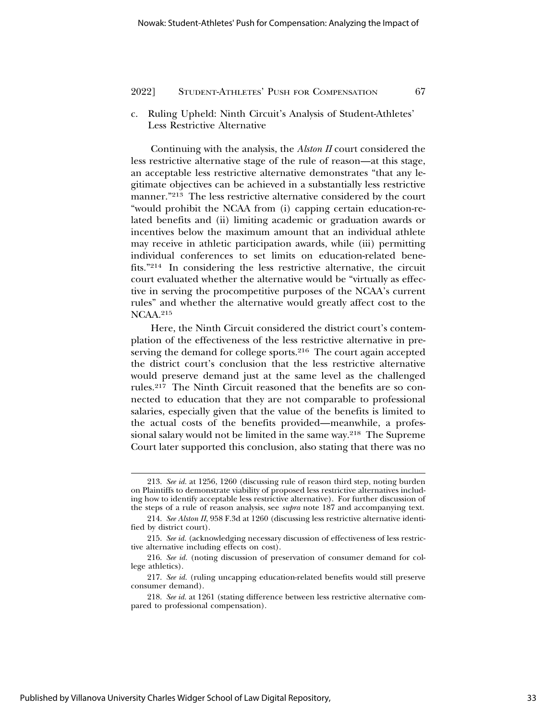c. Ruling Upheld: Ninth Circuit's Analysis of Student-Athletes' Less Restrictive Alternative

Continuing with the analysis, the *Alston II* court considered the less restrictive alternative stage of the rule of reason—at this stage, an acceptable less restrictive alternative demonstrates "that any legitimate objectives can be achieved in a substantially less restrictive manner."213 The less restrictive alternative considered by the court "would prohibit the NCAA from (i) capping certain education-related benefits and (ii) limiting academic or graduation awards or incentives below the maximum amount that an individual athlete may receive in athletic participation awards, while (iii) permitting individual conferences to set limits on education-related benefits."214 In considering the less restrictive alternative, the circuit court evaluated whether the alternative would be "virtually as effective in serving the procompetitive purposes of the NCAA's current rules" and whether the alternative would greatly affect cost to the NCAA.215

Here, the Ninth Circuit considered the district court's contemplation of the effectiveness of the less restrictive alternative in preserving the demand for college sports.<sup>216</sup> The court again accepted the district court's conclusion that the less restrictive alternative would preserve demand just at the same level as the challenged rules.217 The Ninth Circuit reasoned that the benefits are so connected to education that they are not comparable to professional salaries, especially given that the value of the benefits is limited to the actual costs of the benefits provided—meanwhile, a professional salary would not be limited in the same way.<sup>218</sup> The Supreme Court later supported this conclusion, also stating that there was no

<sup>213.</sup> *See id.* at 1256, 1260 (discussing rule of reason third step, noting burden on Plaintiffs to demonstrate viability of proposed less restrictive alternatives including how to identify acceptable less restrictive alternative). For further discussion of the steps of a rule of reason analysis, see *supra* note 187 and accompanying text.

<sup>214.</sup> *See Alston II*, 958 F.3d at 1260 (discussing less restrictive alternative identified by district court).

<sup>215.</sup> *See id.* (acknowledging necessary discussion of effectiveness of less restrictive alternative including effects on cost).

<sup>216.</sup> *See id.* (noting discussion of preservation of consumer demand for college athletics).

<sup>217.</sup> *See id.* (ruling uncapping education-related benefits would still preserve consumer demand).

<sup>218.</sup> *See id.* at 1261 (stating difference between less restrictive alternative compared to professional compensation).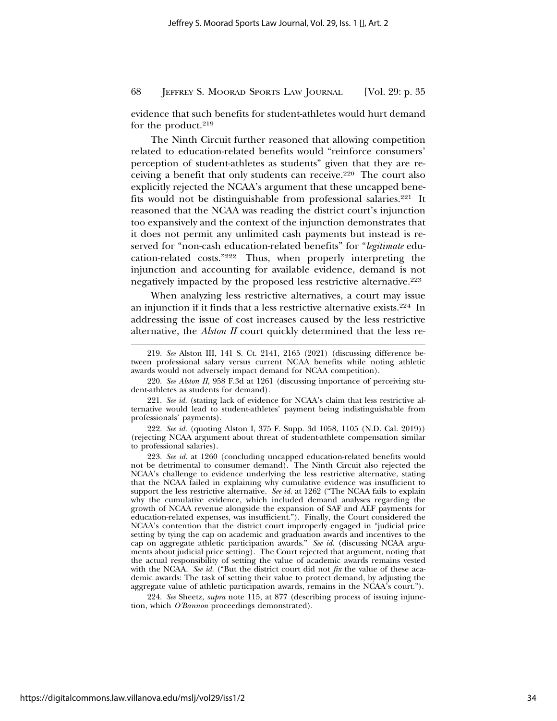evidence that such benefits for student-athletes would hurt demand for the product.<sup>219</sup>

The Ninth Circuit further reasoned that allowing competition related to education-related benefits would "reinforce consumers' perception of student-athletes as students" given that they are receiving a benefit that only students can receive.<sup>220</sup> The court also explicitly rejected the NCAA's argument that these uncapped benefits would not be distinguishable from professional salaries.221 It reasoned that the NCAA was reading the district court's injunction too expansively and the context of the injunction demonstrates that it does not permit any unlimited cash payments but instead is reserved for "non-cash education-related benefits" for "*legitimate* education-related costs."222 Thus, when properly interpreting the injunction and accounting for available evidence, demand is not negatively impacted by the proposed less restrictive alternative.223

When analyzing less restrictive alternatives, a court may issue an injunction if it finds that a less restrictive alternative exists.224 In addressing the issue of cost increases caused by the less restrictive alternative, the *Alston II* court quickly determined that the less re-

220. *See Alston II*, 958 F.3d at 1261 (discussing importance of perceiving student-athletes as students for demand).

221. *See id.* (stating lack of evidence for NCAA's claim that less restrictive alternative would lead to student-athletes' payment being indistinguishable from professionals' payments).

222. *See id.* (quoting Alston I, 375 F. Supp. 3d 1058, 1105 (N.D. Cal. 2019)) (rejecting NCAA argument about threat of student-athlete compensation similar to professional salaries).

223. *See id.* at 1260 (concluding uncapped education-related benefits would not be detrimental to consumer demand). The Ninth Circuit also rejected the NCAA's challenge to evidence underlying the less restrictive alternative, stating that the NCAA failed in explaining why cumulative evidence was insufficient to support the less restrictive alternative. *See id.* at 1262 ("The NCAA fails to explain why the cumulative evidence, which included demand analyses regarding the growth of NCAA revenue alongside the expansion of SAF and AEF payments for education-related expenses, was insufficient."). Finally, the Court considered the NCAA's contention that the district court improperly engaged in "judicial price setting by tying the cap on academic and graduation awards and incentives to the cap on aggregate athletic participation awards." *See id.* (discussing NCAA arguments about judicial price setting). The Court rejected that argument, noting that the actual responsibility of setting the value of academic awards remains vested with the NCAA. *See id.* ("But the district court did not *fix* the value of these academic awards: The task of setting their value to protect demand, by adjusting the aggregate value of athletic participation awards, remains in the NCAA's court.").

224. *See* Sheetz, *supra* note 115, at 877 (describing process of issuing injunction, which *O'Bannon* proceedings demonstrated).

<sup>219.</sup> *See* Alston III, 141 S. Ct. 2141, 2165 (2021) (discussing difference between professional salary versus current NCAA benefits while noting athletic awards would not adversely impact demand for NCAA competition).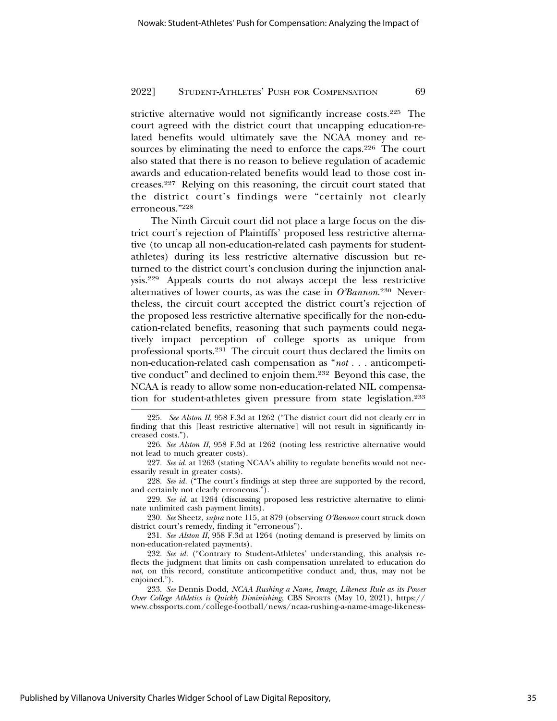strictive alternative would not significantly increase costs.225 The court agreed with the district court that uncapping education-related benefits would ultimately save the NCAA money and resources by eliminating the need to enforce the caps.226 The court also stated that there is no reason to believe regulation of academic awards and education-related benefits would lead to those cost increases.227 Relying on this reasoning, the circuit court stated that the district court's findings were "certainly not clearly erroneous."228

The Ninth Circuit court did not place a large focus on the district court's rejection of Plaintiffs' proposed less restrictive alternative (to uncap all non-education-related cash payments for studentathletes) during its less restrictive alternative discussion but returned to the district court's conclusion during the injunction analysis.229 Appeals courts do not always accept the less restrictive alternatives of lower courts, as was the case in *O'Bannon*. 230 Nevertheless, the circuit court accepted the district court's rejection of the proposed less restrictive alternative specifically for the non-education-related benefits, reasoning that such payments could negatively impact perception of college sports as unique from professional sports.231 The circuit court thus declared the limits on non-education-related cash compensation as "*not . . .* anticompetitive conduct" and declined to enjoin them.232 Beyond this case, the NCAA is ready to allow some non-education-related NIL compensation for student-athletes given pressure from state legislation.233

229. *See id.* at 1264 (discussing proposed less restrictive alternative to eliminate unlimited cash payment limits).

231. *See Alston II*, 958 F.3d at 1264 (noting demand is preserved by limits on non-education-related payments).

Published by Villanova University Charles Widger School of Law Digital Repository,

<sup>225.</sup> *See Alston II*, 958 F.3d at 1262 ("The district court did not clearly err in finding that this [least restrictive alternative] will not result in significantly increased costs.").

<sup>226.</sup> *See Alston II*, 958 F.3d at 1262 (noting less restrictive alternative would not lead to much greater costs).

<sup>227.</sup> *See id.* at 1263 (stating NCAA's ability to regulate benefits would not necessarily result in greater costs).

<sup>228.</sup> *See id.* ("The court's findings at step three are supported by the record, and certainly not clearly erroneous.").

<sup>230.</sup> *See* Sheetz, *supra* note 115, at 879 (observing *O'Bannon* court struck down district court's remedy, finding it "erroneous").

<sup>232.</sup> *See id.* ("Contrary to Student-Athletes' understanding, this analysis reflects the judgment that limits on cash compensation unrelated to education do *not*, on this record, constitute anticompetitive conduct and, thus, may not be enjoined.").

<sup>233.</sup> *See* Dennis Dodd, *NCAA Rushing a Name, Image, Likeness Rule as its Power Over College Athletics is Quickly Diminishing*, CBS SPORTS (May 10, 2021), https:// www.cbssports.com/college-football/news/ncaa-rushing-a-name-image-likeness-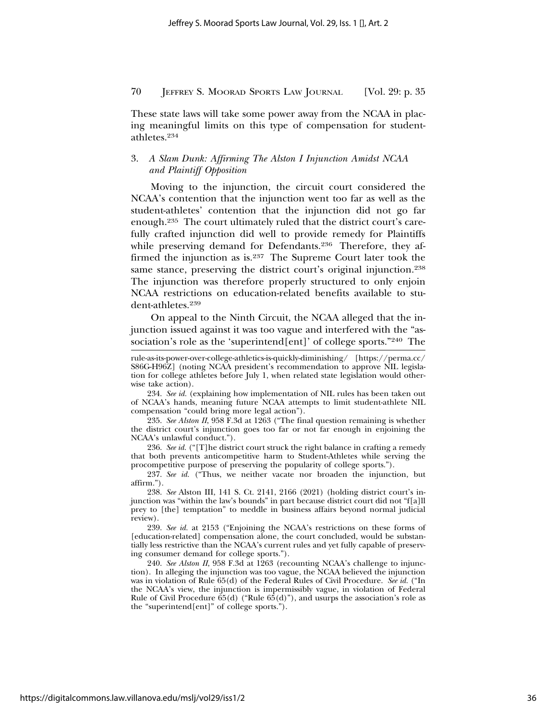These state laws will take some power away from the NCAA in placing meaningful limits on this type of compensation for studentathletes.234

## 3. *A Slam Dunk: Affirming The Alston I Injunction Amidst NCAA and Plaintiff Opposition*

Moving to the injunction, the circuit court considered the NCAA's contention that the injunction went too far as well as the student-athletes' contention that the injunction did not go far enough.235 The court ultimately ruled that the district court's carefully crafted injunction did well to provide remedy for Plaintiffs while preserving demand for Defendants.<sup>236</sup> Therefore, they affirmed the injunction as is.237 The Supreme Court later took the same stance, preserving the district court's original injunction.<sup>238</sup> The injunction was therefore properly structured to only enjoin NCAA restrictions on education-related benefits available to student-athletes.239

On appeal to the Ninth Circuit, the NCAA alleged that the injunction issued against it was too vague and interfered with the "association's role as the 'superintend[ent]' of college sports."240 The

234. *See id.* (explaining how implementation of NIL rules has been taken out of NCAA's hands, meaning future NCAA attempts to limit student-athlete NIL compensation "could bring more legal action").

235. *See Alston II*, 958 F.3d at 1263 ("The final question remaining is whether the district court's injunction goes too far or not far enough in enjoining the NCAA's unlawful conduct.").

236. *See id.* ("[T]he district court struck the right balance in crafting a remedy that both prevents anticompetitive harm to Student-Athletes while serving the procompetitive purpose of preserving the popularity of college sports.").

237. *See id.* ("Thus, we neither vacate nor broaden the injunction, but affirm.").

238. *See* Alston III, 141 S. Ct. 2141, 2166 (2021) (holding district court's injunction was "within the law's bounds" in part because district court did not "f[a]ll prey to [the] temptation" to meddle in business affairs beyond normal judicial review).

239. *See id.* at 2153 ("Enjoining the NCAA's restrictions on these forms of [education-related] compensation alone, the court concluded, would be substantially less restrictive than the NCAA's current rules and yet fully capable of preserving consumer demand for college sports.").

240. *See Alston II*, 958 F.3d at 1263 (recounting NCAA's challenge to injunction). In alleging the injunction was too vague, the NCAA believed the injunction was in violation of Rule 65(d) of the Federal Rules of Civil Procedure. *See id.* ("In the NCAA's view, the injunction is impermissibly vague, in violation of Federal Rule of Civil Procedure  $65(d)$  ("Rule  $65(d)$ "), and usurps the association's role as the "superintend[ent]" of college sports.").

rule-as-its-power-over-college-athletics-is-quickly-diminishing/ [https://perma.cc/ S86G-H96Z] (noting NCAA president's recommendation to approve NIL legislation for college athletes before July 1, when related state legislation would otherwise take action).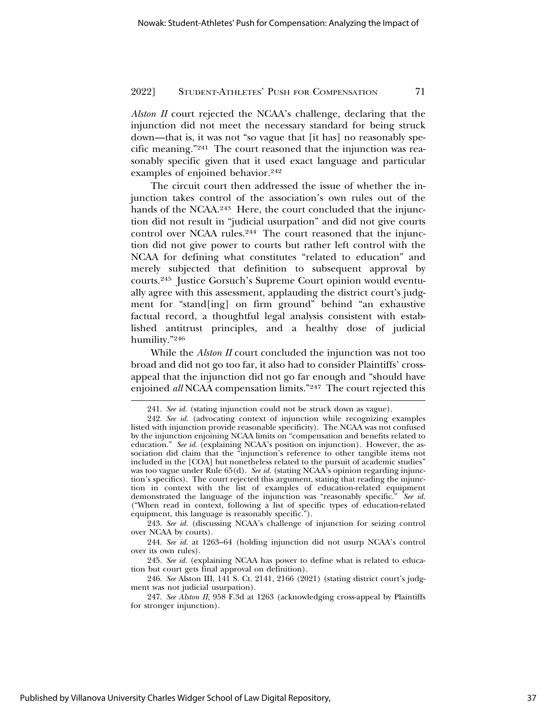*Alston II* court rejected the NCAA's challenge, declaring that the injunction did not meet the necessary standard for being struck down—that is, it was not "so vague that [it has] no reasonably specific meaning."241 The court reasoned that the injunction was reasonably specific given that it used exact language and particular examples of enjoined behavior.<sup>242</sup>

The circuit court then addressed the issue of whether the injunction takes control of the association's own rules out of the hands of the NCAA.<sup>243</sup> Here, the court concluded that the injunction did not result in "judicial usurpation" and did not give courts control over NCAA rules.<sup>244</sup> The court reasoned that the injunction did not give power to courts but rather left control with the NCAA for defining what constitutes "related to education" and merely subjected that definition to subsequent approval by courts.245 Justice Gorsuch's Supreme Court opinion would eventually agree with this assessment, applauding the district court's judgment for "stand[ing] on firm ground" behind "an exhaustive factual record, a thoughtful legal analysis consistent with established antitrust principles, and a healthy dose of judicial humility."246

While the *Alston II* court concluded the injunction was not too broad and did not go too far, it also had to consider Plaintiffs' crossappeal that the injunction did not go far enough and "should have enjoined *all* NCAA compensation limits."247 The court rejected this

<sup>241.</sup> *See id.* (stating injunction could not be struck down as vague).

<sup>242.</sup> *See id.* (advocating context of injunction while recognizing examples listed with injunction provide reasonable specificity). The NCAA was not confused by the injunction enjoining NCAA limits on "compensation and benefits related to education." *See id.* (explaining NCAA's position on injunction). However, the association did claim that the "injunction's reference to other tangible items not included in the [COA] but nonetheless related to the pursuit of academic studies" was too vague under Rule 65(d). *See id.* (stating NCAA's opinion regarding injunction's specifics). The court rejected this argument, stating that reading the injunction in context with the list of examples of education-related equipment demonstrated the language of the injunction was "reasonably specific." *See id.* ("When read in context, following a list of specific types of education-related equipment, this language is reasonably specific.").

<sup>243.</sup> *See id.* (discussing NCAA's challenge of injunction for seizing control over NCAA by courts).

<sup>244.</sup> *See id.* at 1263–64 (holding injunction did not usurp NCAA's control over its own rules).

<sup>245.</sup> *See id.* (explaining NCAA has power to define what is related to education but court gets final approval on definition).

<sup>246.</sup> *See* Alston III, 141 S. Ct. 2141, 2166 (2021) (stating district court's judgment was not judicial usurpation).

<sup>247.</sup> *See Alston II*, 958 F.3d at 1263 (acknowledging cross-appeal by Plaintiffs for stronger injunction).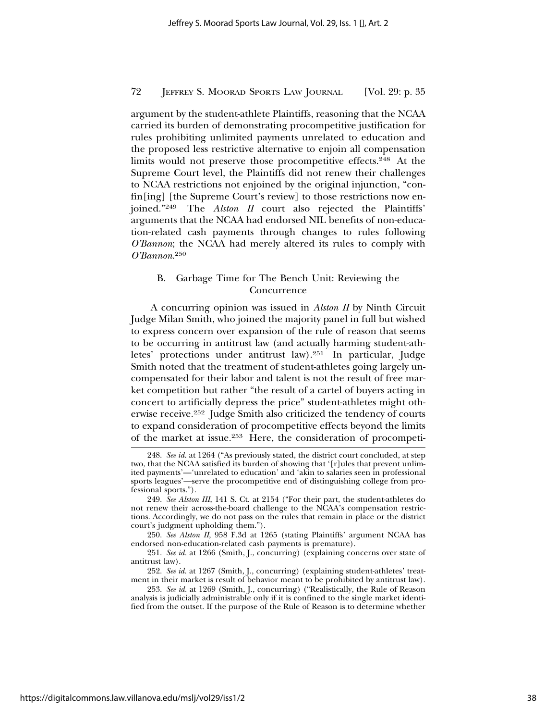argument by the student-athlete Plaintiffs, reasoning that the NCAA carried its burden of demonstrating procompetitive justification for rules prohibiting unlimited payments unrelated to education and the proposed less restrictive alternative to enjoin all compensation limits would not preserve those procompetitive effects.248 At the Supreme Court level, the Plaintiffs did not renew their challenges to NCAA restrictions not enjoined by the original injunction, "confin[ing] [the Supreme Court's review] to those restrictions now enjoined."249 The *Alston II* court also rejected the Plaintiffs' arguments that the NCAA had endorsed NIL benefits of non-education-related cash payments through changes to rules following *O'Bannon*; the NCAA had merely altered its rules to comply with *O'Bannon*. 250

## B. Garbage Time for The Bench Unit: Reviewing the Concurrence

A concurring opinion was issued in *Alston II* by Ninth Circuit Judge Milan Smith, who joined the majority panel in full but wished to express concern over expansion of the rule of reason that seems to be occurring in antitrust law (and actually harming student-athletes' protections under antitrust law).251 In particular, Judge Smith noted that the treatment of student-athletes going largely uncompensated for their labor and talent is not the result of free market competition but rather "the result of a cartel of buyers acting in concert to artificially depress the price" student-athletes might otherwise receive.252 Judge Smith also criticized the tendency of courts to expand consideration of procompetitive effects beyond the limits of the market at issue.253 Here, the consideration of procompeti-

<sup>248.</sup> *See id.* at 1264 ("As previously stated, the district court concluded, at step two, that the NCAA satisfied its burden of showing that '[r]ules that prevent unlimited payments'—'unrelated to education' and 'akin to salaries seen in professional sports leagues'—serve the procompetitive end of distinguishing college from professional sports.").

<sup>249.</sup> *See Alston III*, 141 S. Ct. at 2154 ("For their part, the student-athletes do not renew their across-the-board challenge to the NCAA's compensation restrictions. Accordingly, we do not pass on the rules that remain in place or the district court's judgment upholding them.").

<sup>250.</sup> *See Alston II*, 958 F.3d at 1265 (stating Plaintiffs' argument NCAA has endorsed non-education-related cash payments is premature).

<sup>251.</sup> *See id.* at 1266 (Smith, J., concurring) (explaining concerns over state of antitrust law).

<sup>252.</sup> *See id.* at 1267 (Smith, J., concurring) (explaining student-athletes' treatment in their market is result of behavior meant to be prohibited by antitrust law).

<sup>253.</sup> *See id.* at 1269 (Smith, J., concurring) ("Realistically, the Rule of Reason analysis is judicially administrable only if it is confined to the single market identified from the outset. If the purpose of the Rule of Reason is to determine whether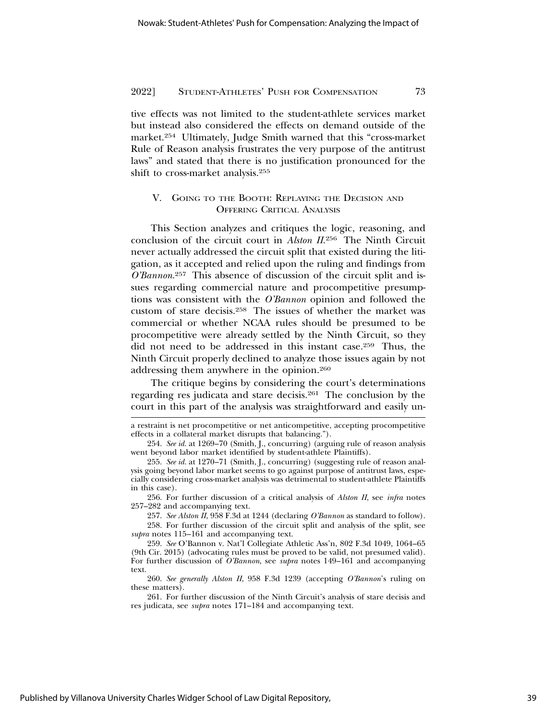tive effects was not limited to the student-athlete services market but instead also considered the effects on demand outside of the market.254 Ultimately, Judge Smith warned that this "cross-market Rule of Reason analysis frustrates the very purpose of the antitrust laws" and stated that there is no justification pronounced for the shift to cross-market analysis.255

## V. GOING TO THE BOOTH: REPLAYING THE DECISION AND OFFERING CRITICAL ANALYSIS

This Section analyzes and critiques the logic, reasoning, and conclusion of the circuit court in *Alston II*. 256 The Ninth Circuit never actually addressed the circuit split that existed during the litigation, as it accepted and relied upon the ruling and findings from *O'Bannon*. 257 This absence of discussion of the circuit split and issues regarding commercial nature and procompetitive presumptions was consistent with the *O'Bannon* opinion and followed the custom of stare decisis.258 The issues of whether the market was commercial or whether NCAA rules should be presumed to be procompetitive were already settled by the Ninth Circuit, so they did not need to be addressed in this instant case.259 Thus, the Ninth Circuit properly declined to analyze those issues again by not addressing them anywhere in the opinion.260

The critique begins by considering the court's determinations regarding res judicata and stare decisis.261 The conclusion by the court in this part of the analysis was straightforward and easily un-

256. For further discussion of a critical analysis of *Alston II*, see *infra* notes 257–282 and accompanying text.

257. *See Alston II*, 958 F.3d at 1244 (declaring *O'Bannon* as standard to follow).

258. For further discussion of the circuit split and analysis of the split, see *supra* notes 115–161 and accompanying text.

259. *See* O'Bannon v. Nat'l Collegiate Athletic Ass'n, 802 F.3d 1049, 1064–65 (9th Cir. 2015) (advocating rules must be proved to be valid, not presumed valid). For further discussion of *O'Bannon*, see *supra* notes 149–161 and accompanying text.

260. *See generally Alston II*, 958 F.3d 1239 (accepting *O'Bannon*'s ruling on these matters).

261. For further discussion of the Ninth Circuit's analysis of stare decisis and res judicata, see *supra* notes 171–184 and accompanying text.

a restraint is net procompetitive or net anticompetitive, accepting procompetitive effects in a collateral market disrupts that balancing.").

<sup>254.</sup> *See id.* at 1269–70 (Smith, J., concurring) (arguing rule of reason analysis went beyond labor market identified by student-athlete Plaintiffs).

<sup>255.</sup> *See id.* at 1270–71 (Smith, J., concurring) (suggesting rule of reason analysis going beyond labor market seems to go against purpose of antitrust laws, especially considering cross-market analysis was detrimental to student-athlete Plaintiffs in this case).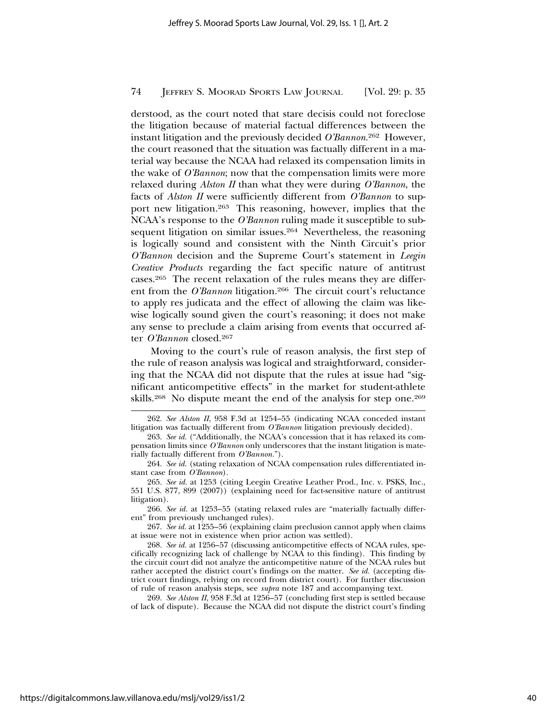derstood, as the court noted that stare decisis could not foreclose the litigation because of material factual differences between the instant litigation and the previously decided *O'Bannon*. 262 However, the court reasoned that the situation was factually different in a material way because the NCAA had relaxed its compensation limits in the wake of *O'Bannon*; now that the compensation limits were more relaxed during *Alston II* than what they were during *O'Bannon*, the facts of *Alston II* were sufficiently different from *O'Bannon* to support new litigation.263 This reasoning, however, implies that the NCAA's response to the *O'Bannon* ruling made it susceptible to subsequent litigation on similar issues.<sup>264</sup> Nevertheless, the reasoning is logically sound and consistent with the Ninth Circuit's prior *O'Bannon* decision and the Supreme Court's statement in *Leegin Creative Products* regarding the fact specific nature of antitrust cases.265 The recent relaxation of the rules means they are different from the *O'Bannon* litigation.<sup>266</sup> The circuit court's reluctance to apply res judicata and the effect of allowing the claim was likewise logically sound given the court's reasoning; it does not make any sense to preclude a claim arising from events that occurred after *O'Bannon* closed.267

Moving to the court's rule of reason analysis, the first step of the rule of reason analysis was logical and straightforward, considering that the NCAA did not dispute that the rules at issue had "significant anticompetitive effects" in the market for student-athlete skills.<sup>268</sup> No dispute meant the end of the analysis for step one.<sup>269</sup>

266. *See id.* at 1253–55 (stating relaxed rules are "materially factually different" from previously unchanged rules).

267. *See id.* at 1255–56 (explaining claim preclusion cannot apply when claims at issue were not in existence when prior action was settled).

269. *See Alston II*, 958 F.3d at 1256–57 (concluding first step is settled because of lack of dispute). Because the NCAA did not dispute the district court's finding

<sup>262.</sup> *See Alston II*, 958 F.3d at 1254–55 (indicating NCAA conceded instant litigation was factually different from *O'Bannon* litigation previously decided).

<sup>263.</sup> *See id.* ("Additionally, the NCAA's concession that it has relaxed its compensation limits since *O'Bannon* only underscores that the instant litigation is materially factually different from *O'Bannon.*").

<sup>264.</sup> *See id.* (stating relaxation of NCAA compensation rules differentiated instant case from *O'Bannon*).

<sup>265.</sup> *See id.* at 1253 (citing Leegin Creative Leather Prod., Inc. v. PSKS, Inc., 551 U.S. 877, 899 (2007)) (explaining need for fact-sensitive nature of antitrust litigation).

<sup>268.</sup> *See id.* at 1256–57 (discussing anticompetitive effects of NCAA rules, specifically recognizing lack of challenge by NCAA to this finding). This finding by the circuit court did not analyze the anticompetitive nature of the NCAA rules but rather accepted the district court's findings on the matter. *See id.* (accepting district court findings, relying on record from district court). For further discussion of rule of reason analysis steps, see *supra* note 187 and accompanying text.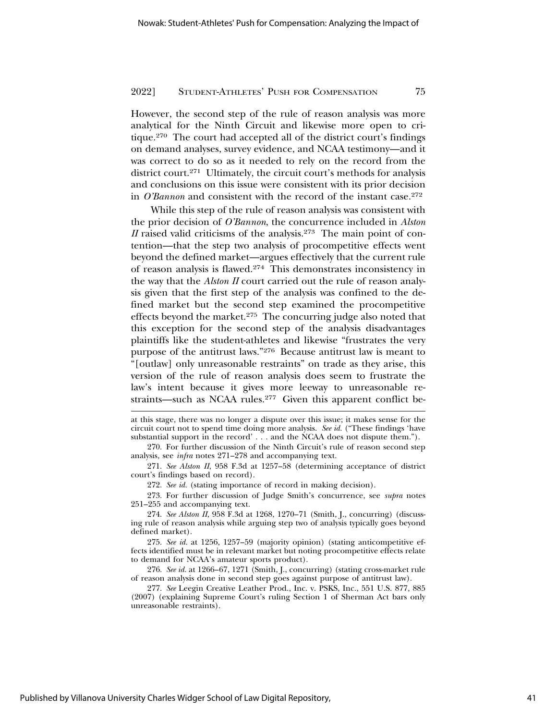However, the second step of the rule of reason analysis was more analytical for the Ninth Circuit and likewise more open to critique.270 The court had accepted all of the district court's findings on demand analyses, survey evidence, and NCAA testimony—and it was correct to do so as it needed to rely on the record from the district court.271 Ultimately, the circuit court's methods for analysis and conclusions on this issue were consistent with its prior decision in *O'Bannon* and consistent with the record of the instant case.<sup>272</sup>

While this step of the rule of reason analysis was consistent with the prior decision of *O'Bannon*, the concurrence included in *Alston II* raised valid criticisms of the analysis.<sup>273</sup> The main point of contention—that the step two analysis of procompetitive effects went beyond the defined market—argues effectively that the current rule of reason analysis is flawed.274 This demonstrates inconsistency in the way that the *Alston II* court carried out the rule of reason analysis given that the first step of the analysis was confined to the defined market but the second step examined the procompetitive effects beyond the market.275 The concurring judge also noted that this exception for the second step of the analysis disadvantages plaintiffs like the student-athletes and likewise "frustrates the very purpose of the antitrust laws."276 Because antitrust law is meant to "[outlaw] only unreasonable restraints" on trade as they arise, this version of the rule of reason analysis does seem to frustrate the law's intent because it gives more leeway to unreasonable restraints—such as NCAA rules.<sup>277</sup> Given this apparent conflict be-

272. *See id.* (stating importance of record in making decision).

273. For further discussion of Judge Smith's concurrence, see *supra* notes 251–255 and accompanying text.

274. *See Alston II*, 958 F.3d at 1268, 1270–71 (Smith, J., concurring) (discussing rule of reason analysis while arguing step two of analysis typically goes beyond defined market).

275. *See id.* at 1256, 1257–59 (majority opinion) (stating anticompetitive effects identified must be in relevant market but noting procompetitive effects relate to demand for NCAA's amateur sports product).

276. *See id.* at 1266–67, 1271 (Smith, J., concurring) (stating cross-market rule of reason analysis done in second step goes against purpose of antitrust law).

277. *See* Leegin Creative Leather Prod., Inc. v. PSKS, Inc., 551 U.S. 877, 885 (2007) (explaining Supreme Court's ruling Section 1 of Sherman Act bars only unreasonable restraints).

Published by Villanova University Charles Widger School of Law Digital Repository,

at this stage, there was no longer a dispute over this issue; it makes sense for the circuit court not to spend time doing more analysis. *See id.* ("These findings 'have substantial support in the record' . . . and the NCAA does not dispute them.").

<sup>270.</sup> For further discussion of the Ninth Circuit's rule of reason second step analysis, see *infra* notes 271–278 and accompanying text.

<sup>271.</sup> *See Alston II*, 958 F.3d at 1257–58 (determining acceptance of district court's findings based on record).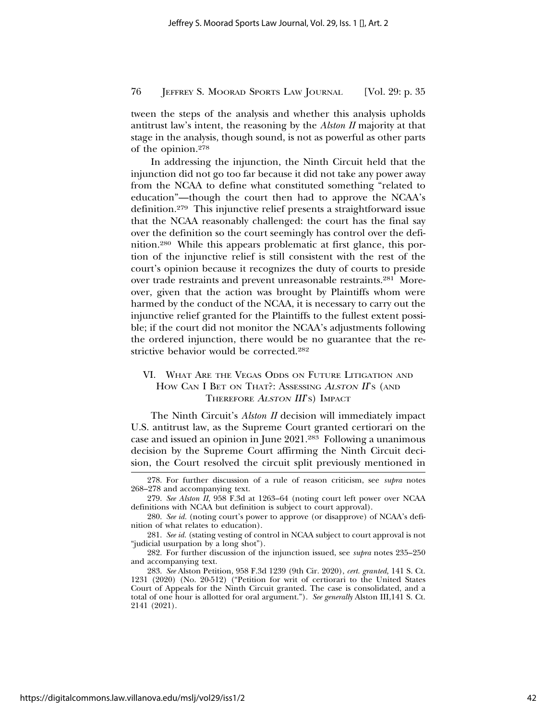tween the steps of the analysis and whether this analysis upholds antitrust law's intent, the reasoning by the *Alston II* majority at that stage in the analysis, though sound, is not as powerful as other parts of the opinion.278

In addressing the injunction, the Ninth Circuit held that the injunction did not go too far because it did not take any power away from the NCAA to define what constituted something "related to education"—though the court then had to approve the NCAA's definition.279 This injunctive relief presents a straightforward issue that the NCAA reasonably challenged: the court has the final say over the definition so the court seemingly has control over the definition.280 While this appears problematic at first glance, this portion of the injunctive relief is still consistent with the rest of the court's opinion because it recognizes the duty of courts to preside over trade restraints and prevent unreasonable restraints.281 Moreover, given that the action was brought by Plaintiffs whom were harmed by the conduct of the NCAA, it is necessary to carry out the injunctive relief granted for the Plaintiffs to the fullest extent possible; if the court did not monitor the NCAA's adjustments following the ordered injunction, there would be no guarantee that the restrictive behavior would be corrected.282

## VI. WHAT ARE THE VEGAS ODDS ON FUTURE LITIGATION AND HOW CAN I BET ON THAT?: ASSESSING ALSTON II'S (AND THEREFORE ALSTON III'S) IMPACT

The Ninth Circuit's *Alston II* decision will immediately impact U.S. antitrust law, as the Supreme Court granted certiorari on the case and issued an opinion in June 2021.283 Following a unanimous decision by the Supreme Court affirming the Ninth Circuit decision, the Court resolved the circuit split previously mentioned in

<sup>278.</sup> For further discussion of a rule of reason criticism, see *supra* notes 268–278 and accompanying text.

<sup>279.</sup> *See Alston II*, 958 F.3d at 1263–64 (noting court left power over NCAA definitions with NCAA but definition is subject to court approval).

<sup>280.</sup> *See id.* (noting court's power to approve (or disapprove) of NCAA's definition of what relates to education).

<sup>281.</sup> *See id.* (stating vesting of control in NCAA subject to court approval is not "judicial usurpation by a long shot").

<sup>282.</sup> For further discussion of the injunction issued, see *supra* notes 235–250 and accompanying text.

<sup>283.</sup> *See* Alston Petition, 958 F.3d 1239 (9th Cir. 2020), *cert. granted,* 141 S. Ct. 1231 (2020) (No. 20-512) ("Petition for writ of certiorari to the United States Court of Appeals for the Ninth Circuit granted. The case is consolidated, and a total of one hour is allotted for oral argument."). *See generally* Alston III,141 S. Ct. 2141 (2021).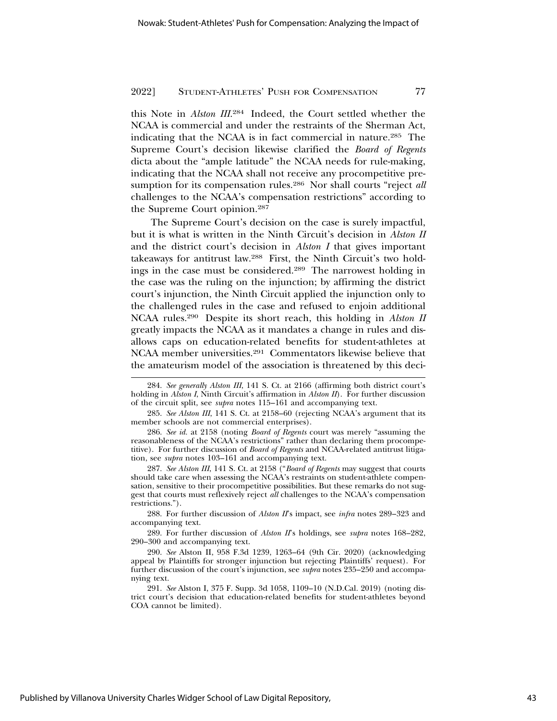this Note in *Alston III*. 284 Indeed, the Court settled whether the NCAA is commercial and under the restraints of the Sherman Act, indicating that the NCAA is in fact commercial in nature.285 The Supreme Court's decision likewise clarified the *Board of Regents* dicta about the "ample latitude" the NCAA needs for rule-making, indicating that the NCAA shall not receive any procompetitive presumption for its compensation rules.286 Nor shall courts "reject *all* challenges to the NCAA's compensation restrictions" according to the Supreme Court opinion.287

The Supreme Court's decision on the case is surely impactful, but it is what is written in the Ninth Circuit's decision in *Alston II* and the district court's decision in *Alston I* that gives important takeaways for antitrust law.288 First, the Ninth Circuit's two holdings in the case must be considered.289 The narrowest holding in the case was the ruling on the injunction; by affirming the district court's injunction, the Ninth Circuit applied the injunction only to the challenged rules in the case and refused to enjoin additional NCAA rules.290 Despite its short reach, this holding in *Alston II* greatly impacts the NCAA as it mandates a change in rules and disallows caps on education-related benefits for student-athletes at NCAA member universities.291 Commentators likewise believe that the amateurism model of the association is threatened by this deci-

288. For further discussion of *Alston II*'s impact, see *infra* notes 289–323 and accompanying text.

289. For further discussion of *Alston II*'s holdings, see *supra* notes 168–282, 290–300 and accompanying text.

<sup>284.</sup> *See generally Alston III*, 141 S. Ct. at 2166 (affirming both district court's holding in *Alston I*, Ninth Circuit's affirmation in *Alston II*). For further discussion of the circuit split, see *supra* notes 115–161 and accompanying text.

<sup>285.</sup> *See Alston III*, 141 S. Ct. at 2158–60 (rejecting NCAA's argument that its member schools are not commercial enterprises).

<sup>286.</sup> *See id.* at 2158 (noting *Board of Regents* court was merely "assuming the reasonableness of the NCAA's restrictions" rather than declaring them procompetitive). For further discussion of *Board of Regents* and NCAA-related antitrust litigation, see *supra* notes 103–161 and accompanying text.

<sup>287.</sup> *See Alston III*, 141 S. Ct. at 2158 ("*Board of Regents* may suggest that courts should take care when assessing the NCAA's restraints on student-athlete compensation, sensitive to their procompetitive possibilities. But these remarks do not suggest that courts must reflexively reject *all* challenges to the NCAA's compensation restrictions.").

<sup>290.</sup> *See* Alston II, 958 F.3d 1239, 1263–64 (9th Cir. 2020) (acknowledging appeal by Plaintiffs for stronger injunction but rejecting Plaintiffs' request). For further discussion of the court's injunction, see *supra* notes 235–250 and accompanying text.

<sup>291.</sup> *See* Alston I, 375 F. Supp. 3d 1058, 1109–10 (N.D.Cal. 2019) (noting district court's decision that education-related benefits for student-athletes beyond COA cannot be limited).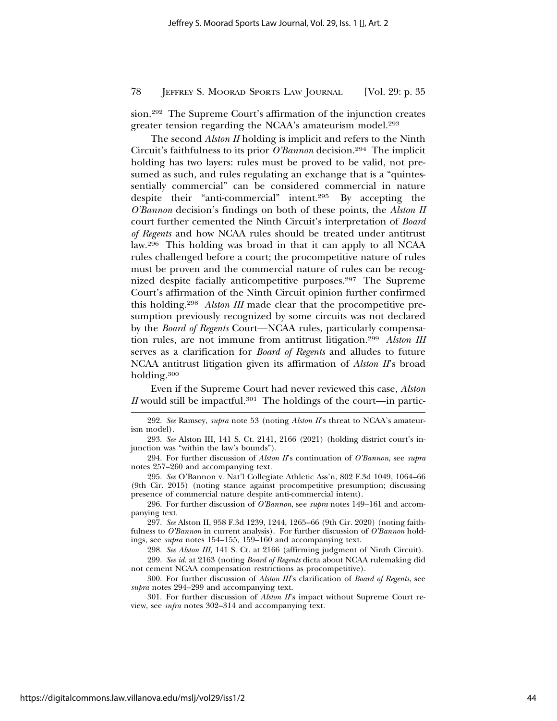sion.292 The Supreme Court's affirmation of the injunction creates greater tension regarding the NCAA's amateurism model.293

The second *Alston II* holding is implicit and refers to the Ninth Circuit's faithfulness to its prior *O'Bannon* decision.294 The implicit holding has two layers: rules must be proved to be valid, not presumed as such, and rules regulating an exchange that is a "quintessentially commercial" can be considered commercial in nature despite their "anti-commercial" intent.295 By accepting the *O'Bannon* decision's findings on both of these points, the *Alston II* court further cemented the Ninth Circuit's interpretation of *Board of Regents* and how NCAA rules should be treated under antitrust law.296 This holding was broad in that it can apply to all NCAA rules challenged before a court; the procompetitive nature of rules must be proven and the commercial nature of rules can be recognized despite facially anticompetitive purposes.297 The Supreme Court's affirmation of the Ninth Circuit opinion further confirmed this holding.298 *Alston III* made clear that the procompetitive presumption previously recognized by some circuits was not declared by the *Board of Regents* Court—NCAA rules, particularly compensation rules, are not immune from antitrust litigation.299 *Alston III* serves as a clarification for *Board of Regents* and alludes to future NCAA antitrust litigation given its affirmation of *Alston II*'s broad holding.300

Even if the Supreme Court had never reviewed this case, *Alston II* would still be impactful.<sup>301</sup> The holdings of the court—in partic-

295. *See* O'Bannon v. Nat'l Collegiate Athletic Ass'n, 802 F.3d 1049, 1064–66 (9th Cir. 2015) (noting stance against procompetitive presumption; discussing presence of commercial nature despite anti-commercial intent).

296. For further discussion of *O'Bannon*, see *supra* notes 149–161 and accompanying text.

297. *See* Alston II, 958 F.3d 1239, 1244, 1265–66 (9th Cir. 2020) (noting faithfulness to *O'Bannon* in current analysis). For further discussion of *O'Bannon* holdings, see *supra* notes 154–155, 159–160 and accompanying text.

298. *See Alston III*, 141 S. Ct. at 2166 (affirming judgment of Ninth Circuit). 299. *See id.* at 2163 (noting *Board of Regents* dicta about NCAA rulemaking did

not cement NCAA compensation restrictions as procompetitive).

300. For further discussion of *Alston III*'s clarification of *Board of Regents*, see *supra* notes 294–299 and accompanying text.

301. For further discussion of *Alston II*'s impact without Supreme Court review, see *infra* notes 302–314 and accompanying text.

<sup>292.</sup> *See* Ramsey, *supra* note 53 (noting *Alston II*'s threat to NCAA's amateurism model).

<sup>293.</sup> *See* Alston III, 141 S. Ct. 2141, 2166 (2021) (holding district court's injunction was "within the law's bounds").

<sup>294.</sup> For further discussion of *Alston II*'s continuation of *O'Bannon*, see *supra* notes 257–260 and accompanying text.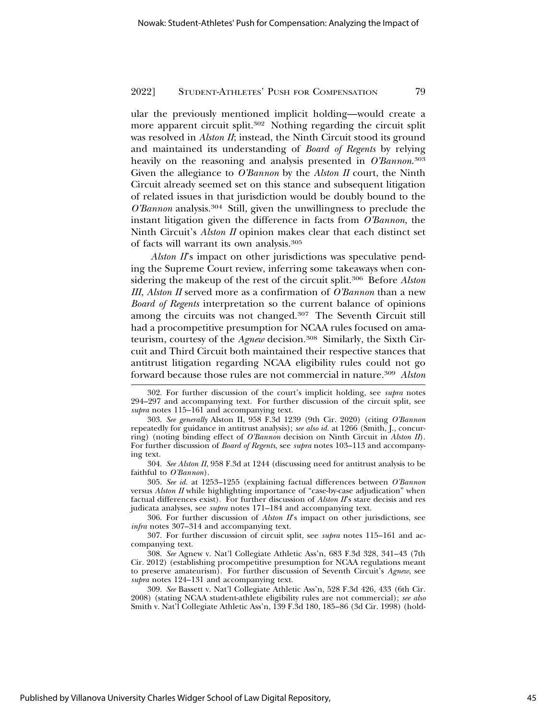ular the previously mentioned implicit holding—would create a more apparent circuit split.<sup>302</sup> Nothing regarding the circuit split was resolved in *Alston II*; instead, the Ninth Circuit stood its ground and maintained its understanding of *Board of Regents* by relying heavily on the reasoning and analysis presented in *O'Bannon*. 303 Given the allegiance to *O'Bannon* by the *Alston II* court, the Ninth Circuit already seemed set on this stance and subsequent litigation of related issues in that jurisdiction would be doubly bound to the *O'Bannon* analysis.304 Still, given the unwillingness to preclude the instant litigation given the difference in facts from *O'Bannon*, the Ninth Circuit's *Alston II* opinion makes clear that each distinct set of facts will warrant its own analysis.305

*Alston II*'s impact on other jurisdictions was speculative pending the Supreme Court review, inferring some takeaways when considering the makeup of the rest of the circuit split.306 Before *Alston III*, *Alston II* served more as a confirmation of *O'Bannon* than a new *Board of Regents* interpretation so the current balance of opinions among the circuits was not changed.307 The Seventh Circuit still had a procompetitive presumption for NCAA rules focused on amateurism, courtesy of the *Agnew* decision.308 Similarly, the Sixth Circuit and Third Circuit both maintained their respective stances that antitrust litigation regarding NCAA eligibility rules could not go forward because those rules are not commercial in nature.309 *Alston*

<sup>302.</sup> For further discussion of the court's implicit holding, see *supra* notes 294–297 and accompanying text. For further discussion of the circuit split, see *supra* notes 115–161 and accompanying text.

<sup>303.</sup> *See generally* Alston II, 958 F.3d 1239 (9th Cir. 2020) (citing *O'Bannon* repeatedly for guidance in antitrust analysis); *see also id.* at 1266 (Smith, J., concurring) (noting binding effect of *O'Bannon* decision on Ninth Circuit in *Alston II*). For further discussion of *Board of Regents*, see *supra* notes 103–113 and accompanying text.

<sup>304.</sup> *See Alston II*, 958 F.3d at 1244 (discussing need for antitrust analysis to be faithful to *O'Bannon*).

<sup>305.</sup> *See id.* at 1253–1255 (explaining factual differences between *O'Bannon* versus *Alston II* while highlighting importance of "case-by-case adjudication" when factual differences exist). For further discussion of *Alston II*'s stare decisis and res judicata analyses, see *supra* notes 171–184 and accompanying text.

<sup>306.</sup> For further discussion of *Alston II*'s impact on other jurisdictions, see *infra* notes 307–314 and accompanying text.

<sup>307.</sup> For further discussion of circuit split, see *supra* notes 115–161 and accompanying text.

<sup>308.</sup> *See* Agnew v. Nat'l Collegiate Athletic Ass'n, 683 F.3d 328, 341–43 (7th Cir. 2012) (establishing procompetitive presumption for NCAA regulations meant to preserve amateurism). For further discussion of Seventh Circuit's *Agnew*, see *supra* notes 124–131 and accompanying text.

<sup>309.</sup> *See* Bassett v. Nat'l Collegiate Athletic Ass'n, 528 F.3d 426, 433 (6th Cir. 2008) (stating NCAA student-athlete eligibility rules are not commercial); *see also* Smith v. Nat'l Collegiate Athletic Ass'n, 139 F.3d 180, 185–86 (3d Cir. 1998) (hold-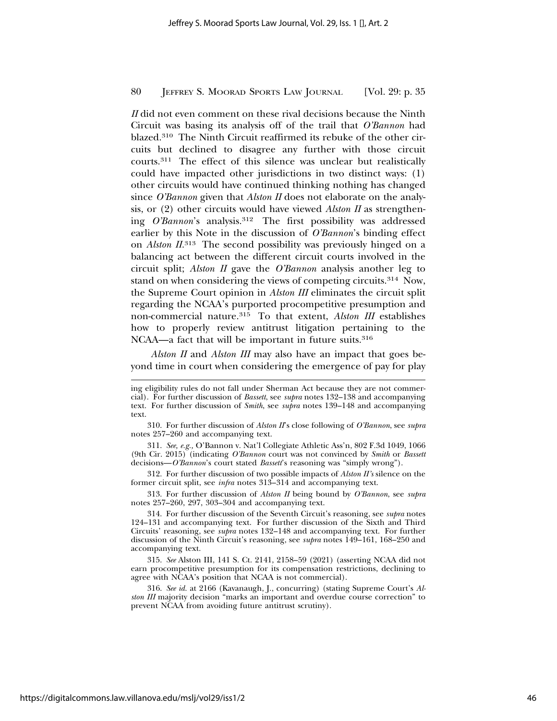*II* did not even comment on these rival decisions because the Ninth Circuit was basing its analysis off of the trail that *O'Bannon* had blazed.310 The Ninth Circuit reaffirmed its rebuke of the other circuits but declined to disagree any further with those circuit courts.311 The effect of this silence was unclear but realistically could have impacted other jurisdictions in two distinct ways: (1) other circuits would have continued thinking nothing has changed since *O'Bannon* given that *Alston II* does not elaborate on the analysis, or (2) other circuits would have viewed *Alston II* as strengthening *O'Bannon*'s analysis.312 The first possibility was addressed earlier by this Note in the discussion of *O'Bannon*'s binding effect on *Alston II*. 313 The second possibility was previously hinged on a balancing act between the different circuit courts involved in the circuit split; *Alston II* gave the *O'Bannon* analysis another leg to stand on when considering the views of competing circuits.314 Now, the Supreme Court opinion in *Alston III* eliminates the circuit split regarding the NCAA's purported procompetitive presumption and non-commercial nature.315 To that extent, *Alston III* establishes how to properly review antitrust litigation pertaining to the NCAA—a fact that will be important in future suits.<sup>316</sup>

*Alston II* and *Alston III* may also have an impact that goes beyond time in court when considering the emergence of pay for play

311. *See, e.g.,* O'Bannon v. Nat'l Collegiate Athletic Ass'n, 802 F.3d 1049, 1066 (9th Cir. 2015) (indicating *O'Bannon* court was not convinced by *Smith* or *Bassett* decisions—*O'Bannon*'s court stated *Bassett*'s reasoning was "simply wrong").

312. For further discussion of two possible impacts of *Alston II's* silence on the former circuit split, see *infra* notes 313–314 and accompanying text.

313. For further discussion of *Alston II* being bound by *O'Bannon*, see *supra* notes 257–260, 297, 303–304 and accompanying text.

315. *See* Alston III, 141 S. Ct. 2141, 2158–59 (2021) (asserting NCAA did not earn procompetitive presumption for its compensation restrictions, declining to agree with NCAA's position that NCAA is not commercial).

316. *See id.* at 2166 (Kavanaugh, J., concurring) (stating Supreme Court's *Alston III* majority decision "marks an important and overdue course correction" to prevent NCAA from avoiding future antitrust scrutiny).

ing eligibility rules do not fall under Sherman Act because they are not commercial). For further discussion of *Bassett*, see *supra* notes 132–138 and accompanying text. For further discussion of *Smith*, see *supra* notes 139–148 and accompanying text.

<sup>310.</sup> For further discussion of *Alston II*'s close following of *O'Bannon*, see *supra* notes 257–260 and accompanying text.

<sup>314.</sup> For further discussion of the Seventh Circuit's reasoning, see *supra* notes 124–131 and accompanying text. For further discussion of the Sixth and Third Circuits' reasoning, see *supra* notes 132–148 and accompanying text. For further discussion of the Ninth Circuit's reasoning, see *supra* notes 149–161, 168–250 and accompanying text.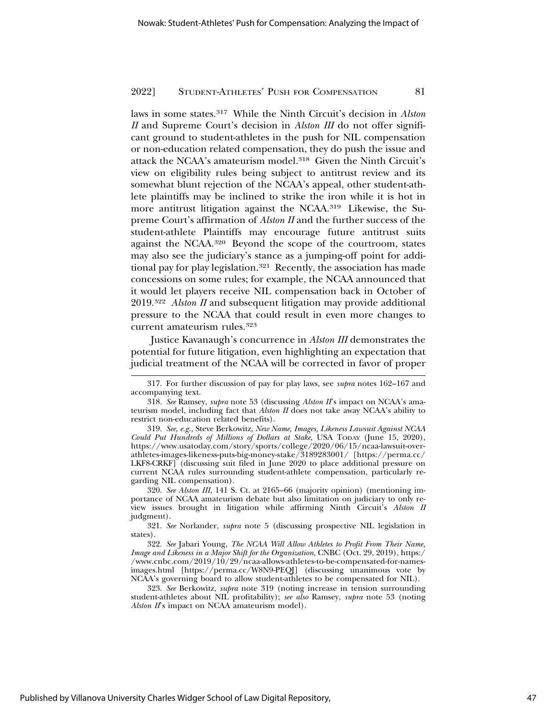laws in some states.317 While the Ninth Circuit's decision in *Alston II* and Supreme Court's decision in *Alston III* do not offer significant ground to student-athletes in the push for NIL compensation or non-education related compensation, they do push the issue and attack the NCAA's amateurism model.318 Given the Ninth Circuit's view on eligibility rules being subject to antitrust review and its somewhat blunt rejection of the NCAA's appeal, other student-athlete plaintiffs may be inclined to strike the iron while it is hot in more antitrust litigation against the NCAA.319 Likewise, the Supreme Court's affirmation of *Alston II* and the further success of the student-athlete Plaintiffs may encourage future antitrust suits against the NCAA.320 Beyond the scope of the courtroom, states may also see the judiciary's stance as a jumping-off point for additional pay for play legislation.<sup>321</sup> Recently, the association has made concessions on some rules; for example, the NCAA announced that it would let players receive NIL compensation back in October of 2019.322 *Alston II* and subsequent litigation may provide additional pressure to the NCAA that could result in even more changes to current amateurism rules.323

Justice Kavanaugh's concurrence in *Alston III* demonstrates the potential for future litigation, even highlighting an expectation that judicial treatment of the NCAA will be corrected in favor of proper

320. *See Alston III*, 141 S. Ct. at 2165–66 (majority opinion) (mentioning importance of NCAA amateurism debate but also limitation on judiciary to only review issues brought in litigation while affirming Ninth Circuit's *Alston II* judgment).

321. *See* Norlander, *supra* note 5 (discussing prospective NIL legislation in states).

322. *See* Jabari Young, *The NCAA Will Allow Athletes to Profit From Their Name, Image and Likeness in a Major Shift for the Organization*, CNBC (Oct. 29, 2019), https:/ /www.cnbc.com/2019/10/29/ncaa-allows-athletes-to-be-compensated-for-namesimages.html [https://perma.cc/W8N9-PEQJ] (discussing unanimous vote by NCAA's governing board to allow student-athletes to be compensated for NIL).

323. *See* Berkowitz, *supra* note 319 (noting increase in tension surrounding student-athletes about NIL profitability); *see also* Ramsey, *supra* note 53 (noting *Alston II*'s impact on NCAA amateurism model).

<sup>317.</sup> For further discussion of pay for play laws, see *supra* notes 162–167 and accompanying text.

<sup>318.</sup> *See* Ramsey, *supra* note 53 (discussing *Alston II*'s impact on NCAA's amateurism model, including fact that *Alston II* does not take away NCAA's ability to restrict non-education related benefits).

<sup>319.</sup> *See, e.g.,* Steve Berkowitz, *New Name, Images, Likeness Lawsuit Against NCAA Could Put Hundreds of Millions of Dollars at Stake*, USA TODAY (June 15, 2020), https://www.usatoday.com/story/sports/college/2020/06/15/ncaa-lawsuit-overathletes-images-likeness-puts-big-money-stake/3189283001/ [https://perma.cc/ LKF8-CRKF] (discussing suit filed in June 2020 to place additional pressure on current NCAA rules surrounding student-athlete compensation, particularly regarding NIL compensation).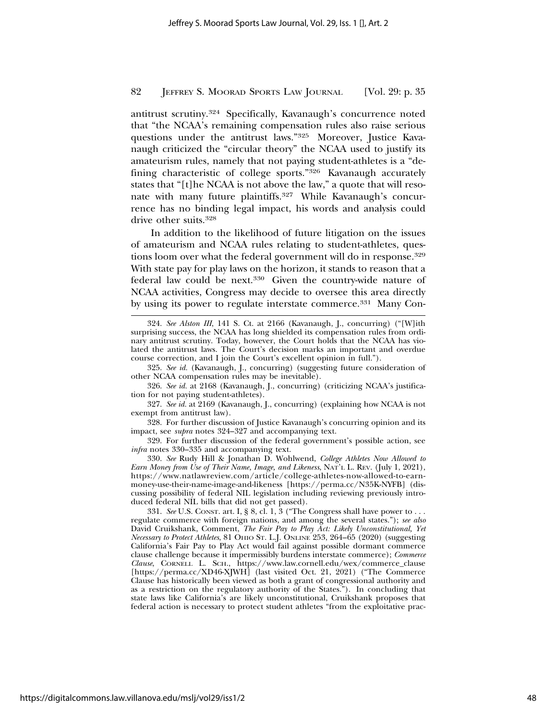antitrust scrutiny.324 Specifically, Kavanaugh's concurrence noted that "the NCAA's remaining compensation rules also raise serious questions under the antitrust laws."325 Moreover, Justice Kavanaugh criticized the "circular theory" the NCAA used to justify its amateurism rules, namely that not paying student-athletes is a "defining characteristic of college sports."326 Kavanaugh accurately states that "[t]he NCAA is not above the law," a quote that will resonate with many future plaintiffs.<sup>327</sup> While Kavanaugh's concurrence has no binding legal impact, his words and analysis could drive other suits.<sup>328</sup>

In addition to the likelihood of future litigation on the issues of amateurism and NCAA rules relating to student-athletes, questions loom over what the federal government will do in response.<sup>329</sup> With state pay for play laws on the horizon, it stands to reason that a federal law could be next.330 Given the country-wide nature of NCAA activities, Congress may decide to oversee this area directly by using its power to regulate interstate commerce.331 Many Con-

<sup>324.</sup> *See Alston III*, 141 S. Ct. at 2166 (Kavanaugh, J., concurring) ("[W]ith surprising success, the NCAA has long shielded its compensation rules from ordinary antitrust scrutiny. Today, however, the Court holds that the NCAA has violated the antitrust laws. The Court's decision marks an important and overdue course correction, and I join the Court's excellent opinion in full.").

<sup>325.</sup> *See id.* (Kavanaugh, J., concurring) (suggesting future consideration of other NCAA compensation rules may be inevitable).

<sup>326.</sup> *See id.* at 2168 (Kavanaugh, J., concurring) (criticizing NCAA's justification for not paying student-athletes).

<sup>327.</sup> *See id.* at 2169 (Kavanaugh, J., concurring) (explaining how NCAA is not exempt from antitrust law).

<sup>328.</sup> For further discussion of Justice Kavanaugh's concurring opinion and its impact, see *supra* notes 324–327 and accompanying text.

<sup>329.</sup> For further discussion of the federal government's possible action, see *infra* notes 330–335 and accompanying text.

<sup>330.</sup> *See* Rudy Hill & Jonathan D. Wohlwend, *College Athletes Now Allowed to Earn Money from Use of Their Name, Image, and Likeness*, NAT'L L. REV. (July 1, 2021), https://www.natlawreview.com/article/college-athletes-now-allowed-to-earnmoney-use-their-name-image-and-likeness [https://perma.cc/N35K-NYFB] (discussing possibility of federal NIL legislation including reviewing previously introduced federal NIL bills that did not get passed).

<sup>331.</sup> *See* U.S. CONST. art. I, § 8, cl. 1, 3 ("The Congress shall have power to . . . regulate commerce with foreign nations, and among the several states."); *see also* David Cruikshank, Comment, *The Fair Pay to Play Act: Likely Unconstitutional, Yet Necessary to Protect Athletes*, 81 OHIO ST. L.J. ONLINE 253, 264–65 (2020) (suggesting California's Fair Pay to Play Act would fail against possible dormant commerce clause challenge because it impermissibly burdens interstate commerce); *Commerce Clause*, CORNELL L. SCH., https://www.law.cornell.edu/wex/commerce\_clause [https://perma.cc/XD46-XJWH] (last visited Oct. 21, 2021) ("The Commerce Clause has historically been viewed as both a grant of congressional authority and as a restriction on the regulatory authority of the States."). In concluding that state laws like California's are likely unconstitutional, Cruikshank proposes that federal action is necessary to protect student athletes "from the exploitative prac-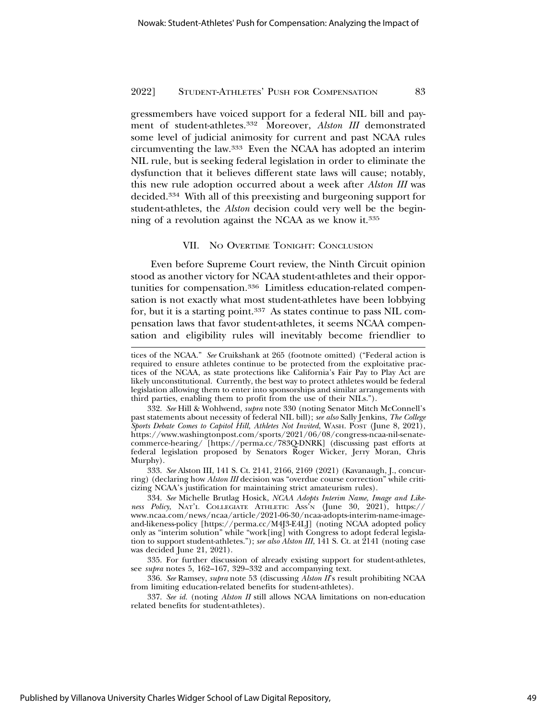gressmembers have voiced support for a federal NIL bill and payment of student-athletes.332 Moreover, *Alston III* demonstrated some level of judicial animosity for current and past NCAA rules circumventing the law.333 Even the NCAA has adopted an interim NIL rule, but is seeking federal legislation in order to eliminate the dysfunction that it believes different state laws will cause; notably, this new rule adoption occurred about a week after *Alston III* was decided.334 With all of this preexisting and burgeoning support for student-athletes, the *Alston* decision could very well be the beginning of a revolution against the NCAA as we know it.<sup>335</sup>

## VII. NO OVERTIME TONIGHT: CONCLUSION

Even before Supreme Court review, the Ninth Circuit opinion stood as another victory for NCAA student-athletes and their opportunities for compensation.336 Limitless education-related compensation is not exactly what most student-athletes have been lobbying for, but it is a starting point.337 As states continue to pass NIL compensation laws that favor student-athletes, it seems NCAA compensation and eligibility rules will inevitably become friendlier to

tices of the NCAA." *See* Cruikshank at 265 (footnote omitted) ("Federal action is required to ensure athletes continue to be protected from the exploitative practices of the NCAA, as state protections like California's Fair Pay to Play Act are likely unconstitutional. Currently, the best way to protect athletes would be federal legislation allowing them to enter into sponsorships and similar arrangements with third parties, enabling them to profit from the use of their NILs.").

<sup>332.</sup> *See* Hill & Wohlwend, *supra* note 330 (noting Senator Mitch McConnell's past statements about necessity of federal NIL bill); *see also* Sally Jenkins, *The College* Sports Debate Comes to Capitol Hill, Athletes Not Invited, WASH. POST (June 8, 2021), https://www.washingtonpost.com/sports/2021/06/08/congress-ncaa-nil-senatecommerce-hearing/ [https://perma.cc/783Q-DNRK] (discussing past efforts at federal legislation proposed by Senators Roger Wicker, Jerry Moran, Chris Murphy).

<sup>333.</sup> *See* Alston III, 141 S. Ct. 2141, 2166, 2169 (2021) (Kavanaugh, J., concurring) (declaring how *Alston III* decision was "overdue course correction" while criticizing NCAA's justification for maintaining strict amateurism rules).

<sup>334.</sup> *See* Michelle Brutlag Hosick, *NCAA Adopts Interim Name, Image and Likeness Policy*, NAT'L COLLEGIATE ATHLETIC ASS'N (June 30, 2021), https:// www.ncaa.com/news/ncaa/article/2021-06-30/ncaa-adopts-interim-name-imageand-likeness-policy [https://perma.cc/M4J3-E4LJ] (noting NCAA adopted policy only as "interim solution" while "work[ing] with Congress to adopt federal legislation to support student-athletes."); *see also Alston III*, 141 S. Ct. at 2141 (noting case was decided June 21, 2021).

<sup>335.</sup> For further discussion of already existing support for student-athletes, see *supra* notes 5, 162–167, 329–332 and accompanying text.

<sup>336.</sup> *See* Ramsey, *supra* note 53 (discussing *Alston II*'s result prohibiting NCAA from limiting education-related benefits for student-athletes).

<sup>337.</sup> *See id.* (noting *Alston II* still allows NCAA limitations on non-education related benefits for student-athletes).